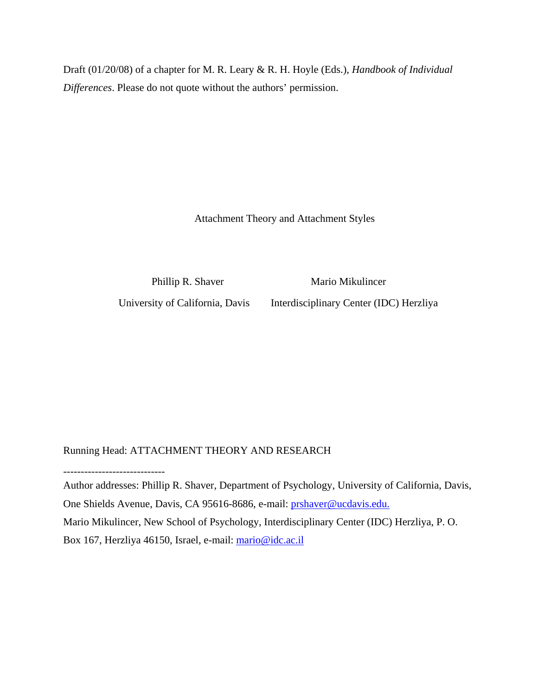Draft (01/20/08) of a chapter for M. R. Leary & R. H. Hoyle (Eds.), *Handbook of Individual Differences*. Please do not quote without the authors' permission.

Attachment Theory and Attachment Styles

Phillip R. Shaver Mario Mikulincer

University of California, Davis Interdisciplinary Center (IDC) Herzliya

Running Head: ATTACHMENT THEORY AND RESEARCH

*-----------------------------*  Author addresses: Phillip R. Shaver, Department of Psychology, University of California, Davis, One Shields Avenue, Davis, CA 95616-8686, e-mail: [prshaver@ucdavis.edu.](mailto:prshaver@ucdavis.edu) Mario Mikulincer, New School of Psychology, Interdisciplinary Center (IDC) Herzliya, P. O. Box 167, Herzliya 46150, Israel, e-mail: [mario@idc.ac.il](mailto:mario@idc.ac.il)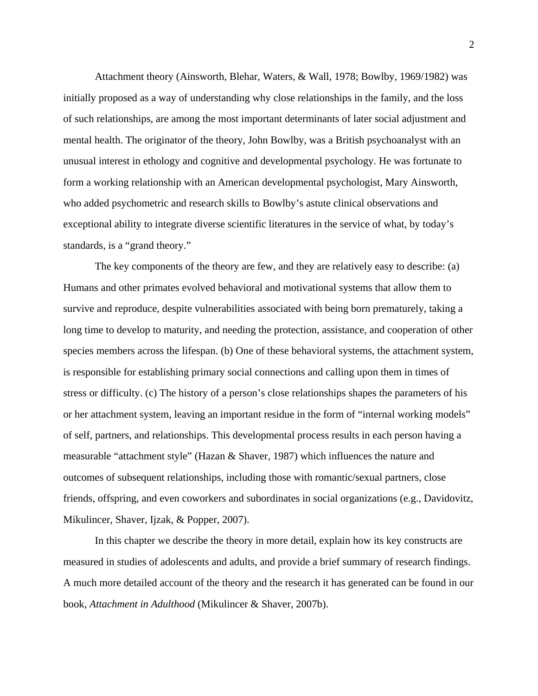Attachment theory (Ainsworth, Blehar, Waters, & Wall, 1978; Bowlby, 1969/1982) was initially proposed as a way of understanding why close relationships in the family, and the loss of such relationships, are among the most important determinants of later social adjustment and mental health. The originator of the theory, John Bowlby, was a British psychoanalyst with an unusual interest in ethology and cognitive and developmental psychology. He was fortunate to form a working relationship with an American developmental psychologist, Mary Ainsworth, who added psychometric and research skills to Bowlby's astute clinical observations and exceptional ability to integrate diverse scientific literatures in the service of what, by today's standards, is a "grand theory."

 The key components of the theory are few, and they are relatively easy to describe: (a) Humans and other primates evolved behavioral and motivational systems that allow them to survive and reproduce, despite vulnerabilities associated with being born prematurely, taking a long time to develop to maturity, and needing the protection, assistance, and cooperation of other species members across the lifespan. (b) One of these behavioral systems, the attachment system, is responsible for establishing primary social connections and calling upon them in times of stress or difficulty. (c) The history of a person's close relationships shapes the parameters of his or her attachment system, leaving an important residue in the form of "internal working models" of self, partners, and relationships. This developmental process results in each person having a measurable "attachment style" (Hazan & Shaver, 1987) which influences the nature and outcomes of subsequent relationships, including those with romantic/sexual partners, close friends, offspring, and even coworkers and subordinates in social organizations (e.g., Davidovitz, Mikulincer, Shaver, Ijzak, & Popper, 2007).

In this chapter we describe the theory in more detail, explain how its key constructs are measured in studies of adolescents and adults, and provide a brief summary of research findings. A much more detailed account of the theory and the research it has generated can be found in our book, *Attachment in Adulthood* (Mikulincer & Shaver, 2007b).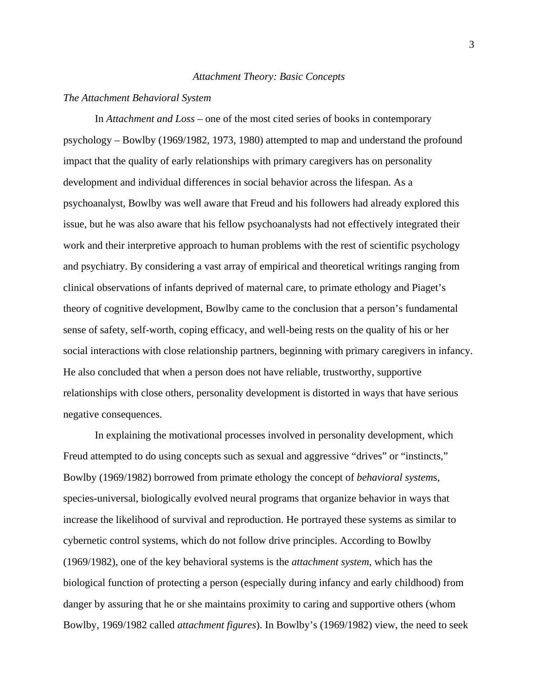### *Attachment Theory: Basic Concepts*

#### *The Attachment Behavioral System*

In *Attachment and Loss* – one of the most cited series of books in contemporary psychology – Bowlby (1969/1982, 1973, 1980) attempted to map and understand the profound impact that the quality of early relationships with primary caregivers has on personality development and individual differences in social behavior across the lifespan. As a psychoanalyst, Bowlby was well aware that Freud and his followers had already explored this issue, but he was also aware that his fellow psychoanalysts had not effectively integrated their work and their interpretive approach to human problems with the rest of scientific psychology and psychiatry. By considering a vast array of empirical and theoretical writings ranging from clinical observations of infants deprived of maternal care, to primate ethology and Piaget's theory of cognitive development, Bowlby came to the conclusion that a person's fundamental sense of safety, self-worth, coping efficacy, and well-being rests on the quality of his or her social interactions with close relationship partners, beginning with primary caregivers in infancy. He also concluded that when a person does not have reliable, trustworthy, supportive relationships with close others, personality development is distorted in ways that have serious negative consequences.

In explaining the motivational processes involved in personality development, which Freud attempted to do using concepts such as sexual and aggressive "drives" or "instincts," Bowlby (1969/1982) borrowed from primate ethology the concept of *behavioral system*s, species-universal, biologically evolved neural programs that organize behavior in ways that increase the likelihood of survival and reproduction. He portrayed these systems as similar to cybernetic control systems, which do not follow drive principles. According to Bowlby (1969/1982), one of the key behavioral systems is the *attachment system,* which has the biological function of protecting a person (especially during infancy and early childhood) from danger by assuring that he or she maintains proximity to caring and supportive others (whom Bowlby, 1969/1982 called *attachment figures*). In Bowlby's (1969/1982) view, the need to seek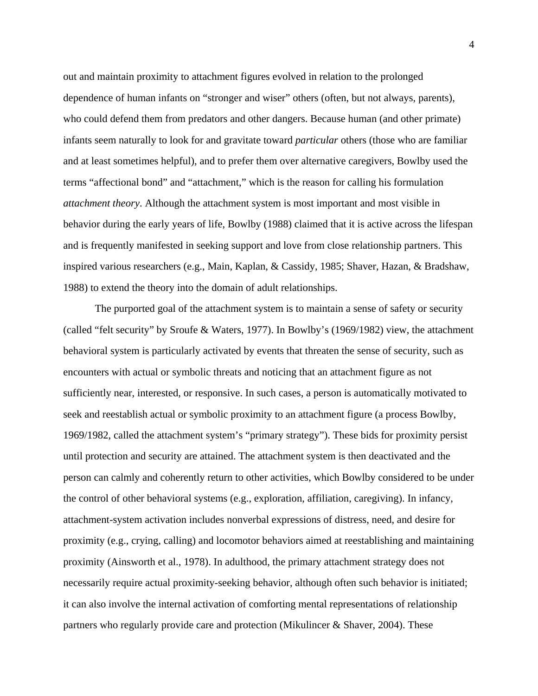out and maintain proximity to attachment figures evolved in relation to the prolonged dependence of human infants on "stronger and wiser" others (often, but not always, parents), who could defend them from predators and other dangers. Because human (and other primate) infants seem naturally to look for and gravitate toward *particular* others (those who are familiar and at least sometimes helpful), and to prefer them over alternative caregivers, Bowlby used the terms "affectional bond" and "attachment," which is the reason for calling his formulation *attachment theory*. Although the attachment system is most important and most visible in behavior during the early years of life, Bowlby (1988) claimed that it is active across the lifespan and is frequently manifested in seeking support and love from close relationship partners. This inspired various researchers (e.g., Main, Kaplan, & Cassidy, 1985; Shaver, Hazan, & Bradshaw, 1988) to extend the theory into the domain of adult relationships.

The purported goal of the attachment system is to maintain a sense of safety or security (called "felt security" by Sroufe & Waters, 1977). In Bowlby's (1969/1982) view, the attachment behavioral system is particularly activated by events that threaten the sense of security, such as encounters with actual or symbolic threats and noticing that an attachment figure as not sufficiently near, interested, or responsive. In such cases, a person is automatically motivated to seek and reestablish actual or symbolic proximity to an attachment figure (a process Bowlby, 1969/1982, called the attachment system's "primary strategy"). These bids for proximity persist until protection and security are attained. The attachment system is then deactivated and the person can calmly and coherently return to other activities, which Bowlby considered to be under the control of other behavioral systems (e.g., exploration, affiliation, caregiving). In infancy, attachment-system activation includes nonverbal expressions of distress, need, and desire for proximity (e.g., crying, calling) and locomotor behaviors aimed at reestablishing and maintaining proximity (Ainsworth et al., 1978). In adulthood, the primary attachment strategy does not necessarily require actual proximity-seeking behavior, although often such behavior is initiated; it can also involve the internal activation of comforting mental representations of relationship partners who regularly provide care and protection (Mikulincer & Shaver, 2004). These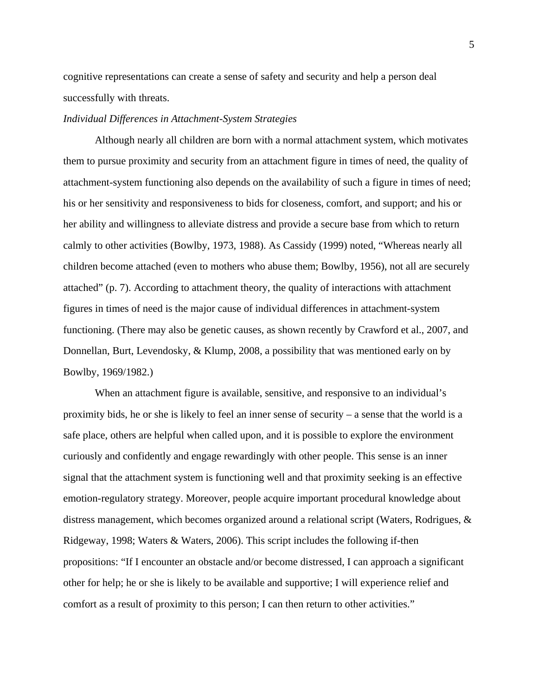cognitive representations can create a sense of safety and security and help a person deal successfully with threats.

## *Individual Differences in Attachment-System Strategies*

Although nearly all children are born with a normal attachment system, which motivates them to pursue proximity and security from an attachment figure in times of need, the quality of attachment-system functioning also depends on the availability of such a figure in times of need; his or her sensitivity and responsiveness to bids for closeness, comfort, and support; and his or her ability and willingness to alleviate distress and provide a secure base from which to return calmly to other activities (Bowlby, 1973, 1988). As Cassidy (1999) noted, "Whereas nearly all children become attached (even to mothers who abuse them; Bowlby, 1956), not all are securely attached" (p. 7). According to attachment theory, the quality of interactions with attachment figures in times of need is the major cause of individual differences in attachment-system functioning. (There may also be genetic causes, as shown recently by Crawford et al., 2007, and Donnellan, Burt, Levendosky, & Klump, 2008, a possibility that was mentioned early on by Bowlby, 1969/1982.)

When an attachment figure is available, sensitive, and responsive to an individual's proximity bids, he or she is likely to feel an inner sense of security – a sense that the world is a safe place, others are helpful when called upon, and it is possible to explore the environment curiously and confidently and engage rewardingly with other people. This sense is an inner signal that the attachment system is functioning well and that proximity seeking is an effective emotion-regulatory strategy. Moreover, people acquire important procedural knowledge about distress management, which becomes organized around a relational script (Waters, Rodrigues, & Ridgeway, 1998; Waters & Waters, 2006). This script includes the following if-then propositions: "If I encounter an obstacle and/or become distressed, I can approach a significant other for help; he or she is likely to be available and supportive; I will experience relief and comfort as a result of proximity to this person; I can then return to other activities."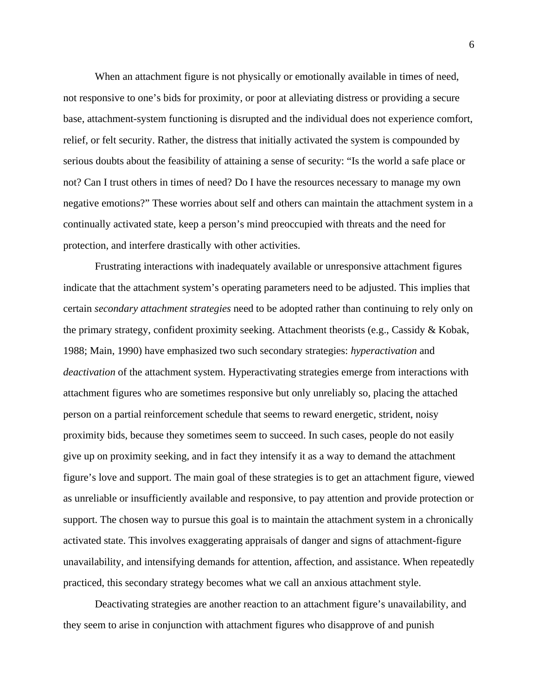When an attachment figure is not physically or emotionally available in times of need, not responsive to one's bids for proximity, or poor at alleviating distress or providing a secure base, attachment-system functioning is disrupted and the individual does not experience comfort, relief, or felt security. Rather, the distress that initially activated the system is compounded by serious doubts about the feasibility of attaining a sense of security: "Is the world a safe place or not? Can I trust others in times of need? Do I have the resources necessary to manage my own negative emotions?" These worries about self and others can maintain the attachment system in a continually activated state, keep a person's mind preoccupied with threats and the need for protection, and interfere drastically with other activities.

Frustrating interactions with inadequately available or unresponsive attachment figures indicate that the attachment system's operating parameters need to be adjusted. This implies that certain *secondary attachment strategies* need to be adopted rather than continuing to rely only on the primary strategy, confident proximity seeking. Attachment theorists (e.g., Cassidy & Kobak, 1988; Main, 1990) have emphasized two such secondary strategies: *hyperactivation* and *deactivation* of the attachment system. Hyperactivating strategies emerge from interactions with attachment figures who are sometimes responsive but only unreliably so, placing the attached person on a partial reinforcement schedule that seems to reward energetic, strident, noisy proximity bids, because they sometimes seem to succeed. In such cases, people do not easily give up on proximity seeking, and in fact they intensify it as a way to demand the attachment figure's love and support. The main goal of these strategies is to get an attachment figure, viewed as unreliable or insufficiently available and responsive, to pay attention and provide protection or support. The chosen way to pursue this goal is to maintain the attachment system in a chronically activated state. This involves exaggerating appraisals of danger and signs of attachment-figure unavailability, and intensifying demands for attention, affection, and assistance. When repeatedly practiced, this secondary strategy becomes what we call an anxious attachment style.

Deactivating strategies are another reaction to an attachment figure's unavailability, and they seem to arise in conjunction with attachment figures who disapprove of and punish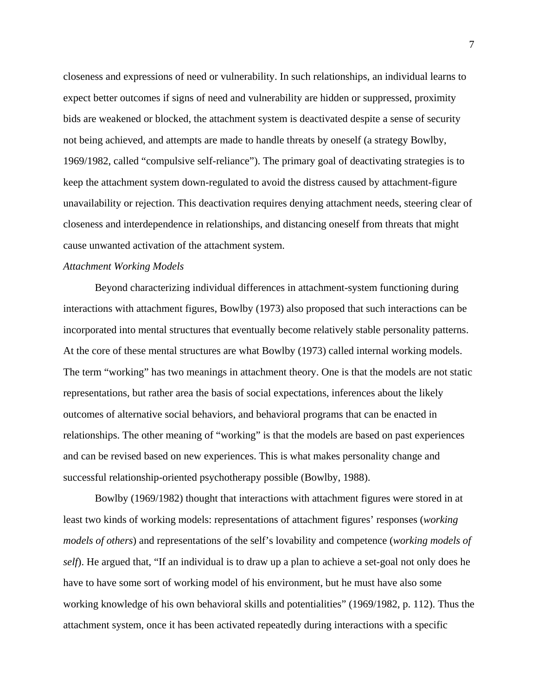closeness and expressions of need or vulnerability. In such relationships, an individual learns to expect better outcomes if signs of need and vulnerability are hidden or suppressed, proximity bids are weakened or blocked, the attachment system is deactivated despite a sense of security not being achieved, and attempts are made to handle threats by oneself (a strategy Bowlby, 1969/1982, called "compulsive self-reliance"). The primary goal of deactivating strategies is to keep the attachment system down-regulated to avoid the distress caused by attachment-figure unavailability or rejection. This deactivation requires denying attachment needs, steering clear of closeness and interdependence in relationships, and distancing oneself from threats that might cause unwanted activation of the attachment system.

## *Attachment Working Models*

Beyond characterizing individual differences in attachment-system functioning during interactions with attachment figures, Bowlby (1973) also proposed that such interactions can be incorporated into mental structures that eventually become relatively stable personality patterns. At the core of these mental structures are what Bowlby (1973) called internal working models. The term "working" has two meanings in attachment theory. One is that the models are not static representations, but rather area the basis of social expectations, inferences about the likely outcomes of alternative social behaviors, and behavioral programs that can be enacted in relationships. The other meaning of "working" is that the models are based on past experiences and can be revised based on new experiences. This is what makes personality change and successful relationship-oriented psychotherapy possible (Bowlby, 1988).

Bowlby (1969/1982) thought that interactions with attachment figures were stored in at least two kinds of working models: representations of attachment figures' responses (*working models of others*) and representations of the self's lovability and competence (*working models of self*). He argued that, "If an individual is to draw up a plan to achieve a set-goal not only does he have to have some sort of working model of his environment, but he must have also some working knowledge of his own behavioral skills and potentialities" (1969/1982, p. 112). Thus the attachment system, once it has been activated repeatedly during interactions with a specific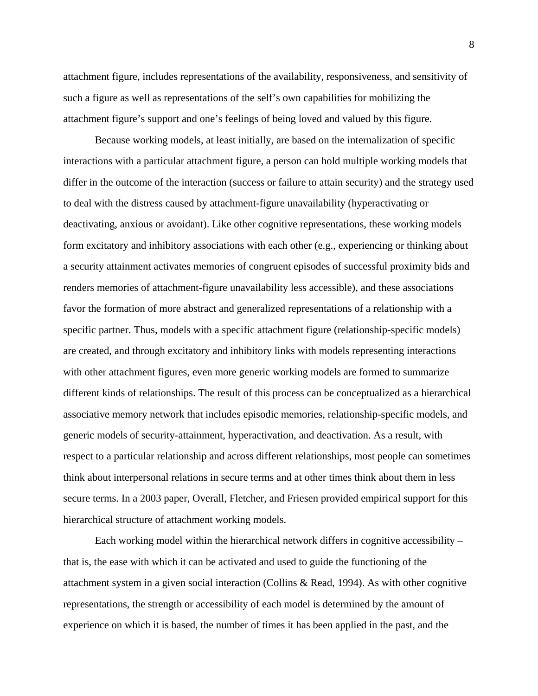attachment figure, includes representations of the availability, responsiveness, and sensitivity of such a figure as well as representations of the self's own capabilities for mobilizing the attachment figure's support and one's feelings of being loved and valued by this figure.

Because working models, at least initially, are based on the internalization of specific interactions with a particular attachment figure, a person can hold multiple working models that differ in the outcome of the interaction (success or failure to attain security) and the strategy used to deal with the distress caused by attachment-figure unavailability (hyperactivating or deactivating, anxious or avoidant). Like other cognitive representations, these working models form excitatory and inhibitory associations with each other (e.g., experiencing or thinking about a security attainment activates memories of congruent episodes of successful proximity bids and renders memories of attachment-figure unavailability less accessible), and these associations favor the formation of more abstract and generalized representations of a relationship with a specific partner. Thus, models with a specific attachment figure (relationship-specific models) are created, and through excitatory and inhibitory links with models representing interactions with other attachment figures, even more generic working models are formed to summarize different kinds of relationships. The result of this process can be conceptualized as a hierarchical associative memory network that includes episodic memories, relationship-specific models, and generic models of security-attainment, hyperactivation, and deactivation. As a result, with respect to a particular relationship and across different relationships, most people can sometimes think about interpersonal relations in secure terms and at other times think about them in less secure terms. In a 2003 paper, Overall, Fletcher, and Friesen provided empirical support for this hierarchical structure of attachment working models.

Each working model within the hierarchical network differs in cognitive accessibility – that is, the ease with which it can be activated and used to guide the functioning of the attachment system in a given social interaction (Collins & Read, 1994). As with other cognitive representations, the strength or accessibility of each model is determined by the amount of experience on which it is based, the number of times it has been applied in the past, and the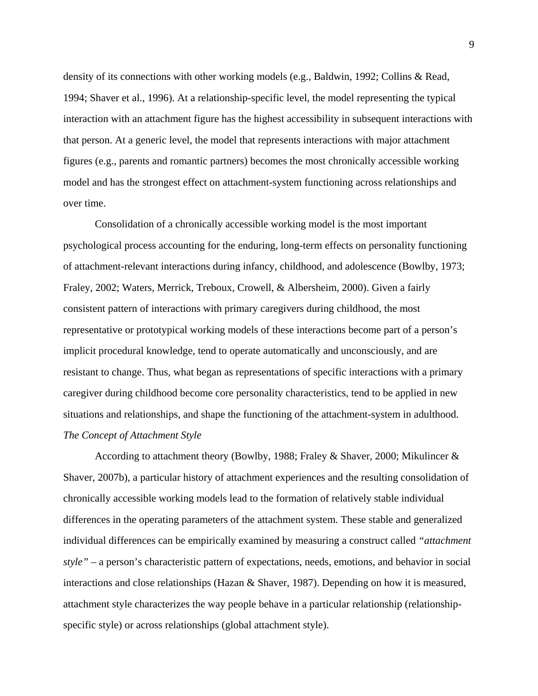density of its connections with other working models (e.g., Baldwin, 1992; Collins & Read, 1994; Shaver et al., 1996). At a relationship-specific level, the model representing the typical interaction with an attachment figure has the highest accessibility in subsequent interactions with that person. At a generic level, the model that represents interactions with major attachment figures (e.g., parents and romantic partners) becomes the most chronically accessible working model and has the strongest effect on attachment-system functioning across relationships and over time.

Consolidation of a chronically accessible working model is the most important psychological process accounting for the enduring, long-term effects on personality functioning of attachment-relevant interactions during infancy, childhood, and adolescence (Bowlby, 1973; Fraley, 2002; Waters, Merrick, Treboux, Crowell, & Albersheim, 2000). Given a fairly consistent pattern of interactions with primary caregivers during childhood, the most representative or prototypical working models of these interactions become part of a person's implicit procedural knowledge, tend to operate automatically and unconsciously, and are resistant to change. Thus, what began as representations of specific interactions with a primary caregiver during childhood become core personality characteristics, tend to be applied in new situations and relationships, and shape the functioning of the attachment-system in adulthood. *The Concept of Attachment Style* 

According to attachment theory (Bowlby, 1988; Fraley & Shaver, 2000; Mikulincer & Shaver, 2007b), a particular history of attachment experiences and the resulting consolidation of chronically accessible working models lead to the formation of relatively stable individual differences in the operating parameters of the attachment system. These stable and generalized individual differences can be empirically examined by measuring a construct called *"attachment style"* – a person's characteristic pattern of expectations, needs, emotions, and behavior in social interactions and close relationships (Hazan & Shaver, 1987). Depending on how it is measured, attachment style characterizes the way people behave in a particular relationship (relationshipspecific style) or across relationships (global attachment style).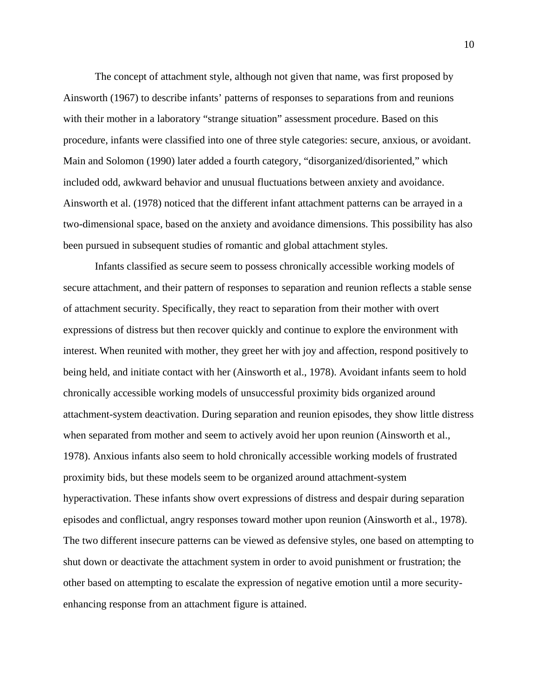The concept of attachment style, although not given that name, was first proposed by Ainsworth (1967) to describe infants' patterns of responses to separations from and reunions with their mother in a laboratory "strange situation" assessment procedure. Based on this procedure, infants were classified into one of three style categories: secure, anxious, or avoidant. Main and Solomon (1990) later added a fourth category, "disorganized/disoriented," which included odd, awkward behavior and unusual fluctuations between anxiety and avoidance. Ainsworth et al. (1978) noticed that the different infant attachment patterns can be arrayed in a two-dimensional space, based on the anxiety and avoidance dimensions. This possibility has also been pursued in subsequent studies of romantic and global attachment styles.

Infants classified as secure seem to possess chronically accessible working models of secure attachment, and their pattern of responses to separation and reunion reflects a stable sense of attachment security. Specifically, they react to separation from their mother with overt expressions of distress but then recover quickly and continue to explore the environment with interest. When reunited with mother, they greet her with joy and affection, respond positively to being held, and initiate contact with her (Ainsworth et al., 1978). Avoidant infants seem to hold chronically accessible working models of unsuccessful proximity bids organized around attachment-system deactivation. During separation and reunion episodes, they show little distress when separated from mother and seem to actively avoid her upon reunion (Ainsworth et al., 1978). Anxious infants also seem to hold chronically accessible working models of frustrated proximity bids, but these models seem to be organized around attachment-system hyperactivation. These infants show overt expressions of distress and despair during separation episodes and conflictual, angry responses toward mother upon reunion (Ainsworth et al., 1978). The two different insecure patterns can be viewed as defensive styles, one based on attempting to shut down or deactivate the attachment system in order to avoid punishment or frustration; the other based on attempting to escalate the expression of negative emotion until a more securityenhancing response from an attachment figure is attained.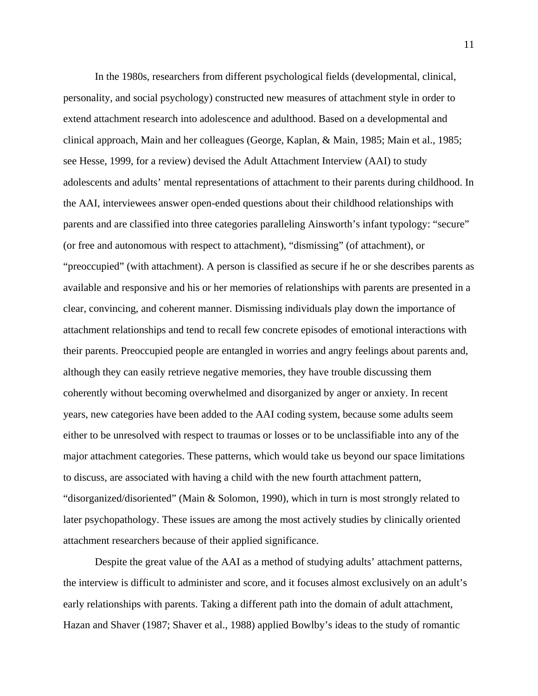In the 1980s, researchers from different psychological fields (developmental, clinical, personality, and social psychology) constructed new measures of attachment style in order to extend attachment research into adolescence and adulthood. Based on a developmental and clinical approach, Main and her colleagues (George, Kaplan, & Main, 1985; Main et al., 1985; see Hesse, 1999, for a review) devised the Adult Attachment Interview (AAI) to study adolescents and adults' mental representations of attachment to their parents during childhood. In the AAI, interviewees answer open-ended questions about their childhood relationships with parents and are classified into three categories paralleling Ainsworth's infant typology: "secure" (or free and autonomous with respect to attachment), "dismissing" (of attachment), or "preoccupied" (with attachment). A person is classified as secure if he or she describes parents as available and responsive and his or her memories of relationships with parents are presented in a clear, convincing, and coherent manner. Dismissing individuals play down the importance of attachment relationships and tend to recall few concrete episodes of emotional interactions with their parents. Preoccupied people are entangled in worries and angry feelings about parents and, although they can easily retrieve negative memories, they have trouble discussing them coherently without becoming overwhelmed and disorganized by anger or anxiety. In recent years, new categories have been added to the AAI coding system, because some adults seem either to be unresolved with respect to traumas or losses or to be unclassifiable into any of the major attachment categories. These patterns, which would take us beyond our space limitations to discuss, are associated with having a child with the new fourth attachment pattern, "disorganized/disoriented" (Main & Solomon, 1990), which in turn is most strongly related to later psychopathology. These issues are among the most actively studies by clinically oriented attachment researchers because of their applied significance.

Despite the great value of the AAI as a method of studying adults' attachment patterns, the interview is difficult to administer and score, and it focuses almost exclusively on an adult's early relationships with parents. Taking a different path into the domain of adult attachment, Hazan and Shaver (1987; Shaver et al., 1988) applied Bowlby's ideas to the study of romantic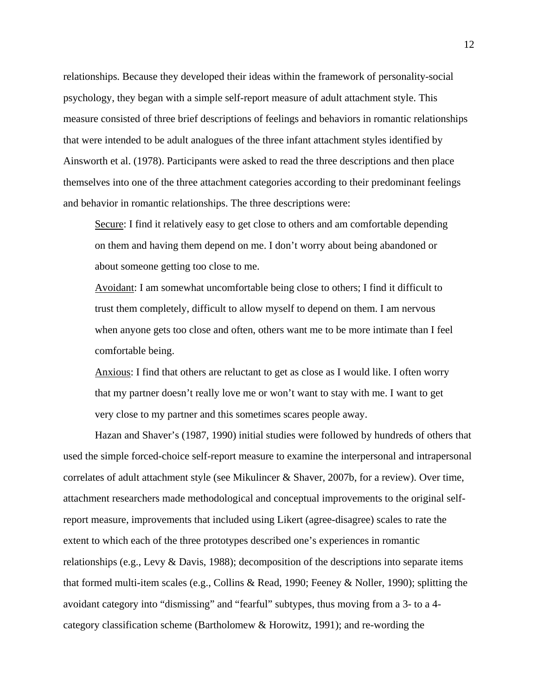relationships. Because they developed their ideas within the framework of personality-social psychology, they began with a simple self-report measure of adult attachment style. This measure consisted of three brief descriptions of feelings and behaviors in romantic relationships that were intended to be adult analogues of the three infant attachment styles identified by Ainsworth et al. (1978). Participants were asked to read the three descriptions and then place themselves into one of the three attachment categories according to their predominant feelings and behavior in romantic relationships. The three descriptions were:

Secure: I find it relatively easy to get close to others and am comfortable depending on them and having them depend on me. I don't worry about being abandoned or about someone getting too close to me.

Avoidant: I am somewhat uncomfortable being close to others; I find it difficult to trust them completely, difficult to allow myself to depend on them. I am nervous when anyone gets too close and often, others want me to be more intimate than I feel comfortable being.

Anxious: I find that others are reluctant to get as close as I would like. I often worry that my partner doesn't really love me or won't want to stay with me. I want to get very close to my partner and this sometimes scares people away.

Hazan and Shaver's (1987, 1990) initial studies were followed by hundreds of others that used the simple forced-choice self-report measure to examine the interpersonal and intrapersonal correlates of adult attachment style (see Mikulincer & Shaver, 2007b, for a review). Over time, attachment researchers made methodological and conceptual improvements to the original selfreport measure, improvements that included using Likert (agree-disagree) scales to rate the extent to which each of the three prototypes described one's experiences in romantic relationships (e.g., Levy & Davis, 1988); decomposition of the descriptions into separate items that formed multi-item scales (e.g., Collins & Read, 1990; Feeney & Noller, 1990); splitting the avoidant category into "dismissing" and "fearful" subtypes, thus moving from a 3- to a 4 category classification scheme (Bartholomew & Horowitz, 1991); and re-wording the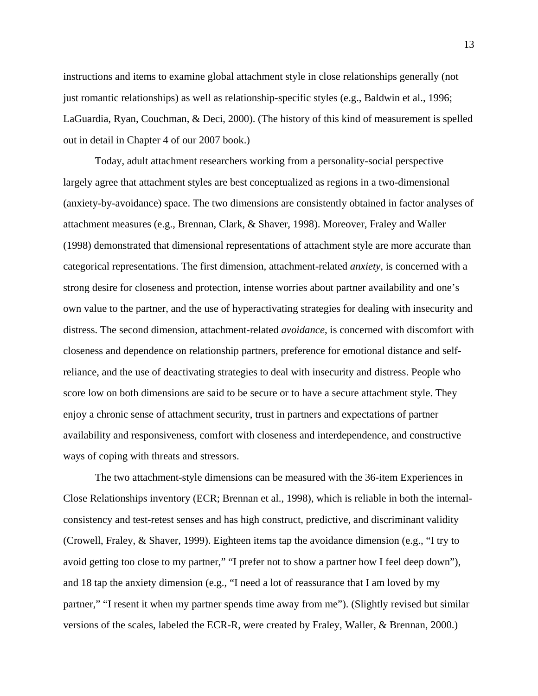instructions and items to examine global attachment style in close relationships generally (not just romantic relationships) as well as relationship-specific styles (e.g., Baldwin et al., 1996; LaGuardia, Ryan, Couchman, & Deci, 2000). (The history of this kind of measurement is spelled out in detail in Chapter 4 of our 2007 book.)

Today, adult attachment researchers working from a personality-social perspective largely agree that attachment styles are best conceptualized as regions in a two-dimensional (anxiety-by-avoidance) space. The two dimensions are consistently obtained in factor analyses of attachment measures (e.g., Brennan, Clark, & Shaver, 1998). Moreover, Fraley and Waller (1998) demonstrated that dimensional representations of attachment style are more accurate than categorical representations. The first dimension, attachment-related *anxiety*, is concerned with a strong desire for closeness and protection, intense worries about partner availability and one's own value to the partner, and the use of hyperactivating strategies for dealing with insecurity and distress. The second dimension, attachment-related *avoidance*, is concerned with discomfort with closeness and dependence on relationship partners, preference for emotional distance and selfreliance, and the use of deactivating strategies to deal with insecurity and distress. People who score low on both dimensions are said to be secure or to have a secure attachment style. They enjoy a chronic sense of attachment security, trust in partners and expectations of partner availability and responsiveness, comfort with closeness and interdependence, and constructive ways of coping with threats and stressors.

The two attachment-style dimensions can be measured with the 36-item Experiences in Close Relationships inventory (ECR; Brennan et al., 1998), which is reliable in both the internalconsistency and test-retest senses and has high construct, predictive, and discriminant validity (Crowell, Fraley, & Shaver, 1999). Eighteen items tap the avoidance dimension (e.g., "I try to avoid getting too close to my partner," "I prefer not to show a partner how I feel deep down"), and 18 tap the anxiety dimension (e.g., "I need a lot of reassurance that I am loved by my partner," "I resent it when my partner spends time away from me"). (Slightly revised but similar versions of the scales, labeled the ECR-R, were created by Fraley, Waller, & Brennan, 2000.)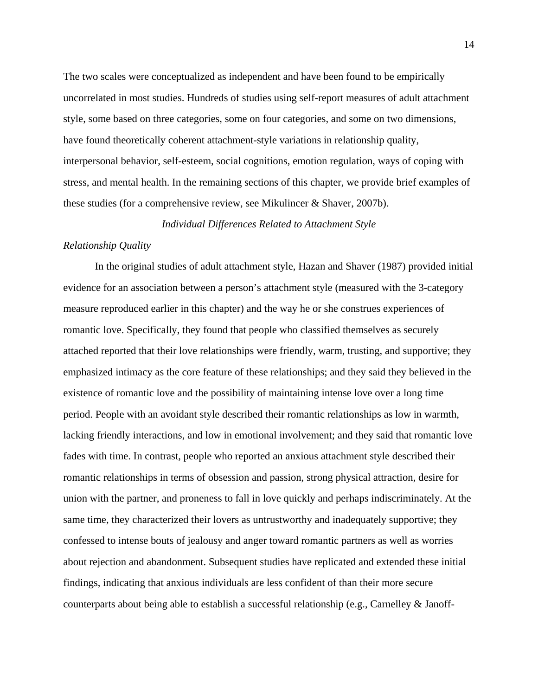The two scales were conceptualized as independent and have been found to be empirically uncorrelated in most studies. Hundreds of studies using self-report measures of adult attachment style, some based on three categories, some on four categories, and some on two dimensions, have found theoretically coherent attachment-style variations in relationship quality, interpersonal behavior, self-esteem, social cognitions, emotion regulation, ways of coping with stress, and mental health. In the remaining sections of this chapter, we provide brief examples of these studies (for a comprehensive review, see Mikulincer & Shaver, 2007b).

# *Individual Differences Related to Attachment Style*

# *Relationship Quality*

In the original studies of adult attachment style, Hazan and Shaver (1987) provided initial evidence for an association between a person's attachment style (measured with the 3-category measure reproduced earlier in this chapter) and the way he or she construes experiences of romantic love. Specifically, they found that people who classified themselves as securely attached reported that their love relationships were friendly, warm, trusting, and supportive; they emphasized intimacy as the core feature of these relationships; and they said they believed in the existence of romantic love and the possibility of maintaining intense love over a long time period. People with an avoidant style described their romantic relationships as low in warmth, lacking friendly interactions, and low in emotional involvement; and they said that romantic love fades with time. In contrast, people who reported an anxious attachment style described their romantic relationships in terms of obsession and passion, strong physical attraction, desire for union with the partner, and proneness to fall in love quickly and perhaps indiscriminately. At the same time, they characterized their lovers as untrustworthy and inadequately supportive; they confessed to intense bouts of jealousy and anger toward romantic partners as well as worries about rejection and abandonment. Subsequent studies have replicated and extended these initial findings, indicating that anxious individuals are less confident of than their more secure counterparts about being able to establish a successful relationship (e.g., Carnelley & Janoff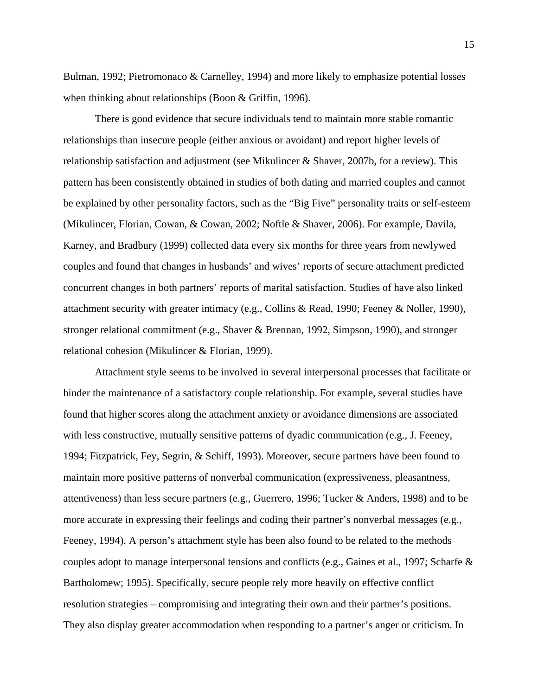Bulman, 1992; Pietromonaco & Carnelley, 1994) and more likely to emphasize potential losses when thinking about relationships (Boon & Griffin, 1996).

There is good evidence that secure individuals tend to maintain more stable romantic relationships than insecure people (either anxious or avoidant) and report higher levels of relationship satisfaction and adjustment (see Mikulincer & Shaver, 2007b, for a review). This pattern has been consistently obtained in studies of both dating and married couples and cannot be explained by other personality factors, such as the "Big Five" personality traits or self-esteem (Mikulincer, Florian, Cowan, & Cowan, 2002; Noftle & Shaver, 2006). For example, Davila, Karney, and Bradbury (1999) collected data every six months for three years from newlywed couples and found that changes in husbands' and wives' reports of secure attachment predicted concurrent changes in both partners' reports of marital satisfaction. Studies of have also linked attachment security with greater intimacy (e.g., Collins & Read, 1990; Feeney & Noller, 1990), stronger relational commitment (e.g., Shaver & Brennan, 1992, Simpson, 1990), and stronger relational cohesion (Mikulincer & Florian, 1999).

Attachment style seems to be involved in several interpersonal processes that facilitate or hinder the maintenance of a satisfactory couple relationship. For example, several studies have found that higher scores along the attachment anxiety or avoidance dimensions are associated with less constructive, mutually sensitive patterns of dyadic communication (e.g., J. Feeney, 1994; Fitzpatrick, Fey, Segrin, & Schiff, 1993). Moreover, secure partners have been found to maintain more positive patterns of nonverbal communication (expressiveness, pleasantness, attentiveness) than less secure partners (e.g., Guerrero, 1996; Tucker & Anders, 1998) and to be more accurate in expressing their feelings and coding their partner's nonverbal messages (e.g., Feeney, 1994). A person's attachment style has been also found to be related to the methods couples adopt to manage interpersonal tensions and conflicts (e.g., Gaines et al., 1997; Scharfe & Bartholomew; 1995). Specifically, secure people rely more heavily on effective conflict resolution strategies – compromising and integrating their own and their partner's positions. They also display greater accommodation when responding to a partner's anger or criticism. In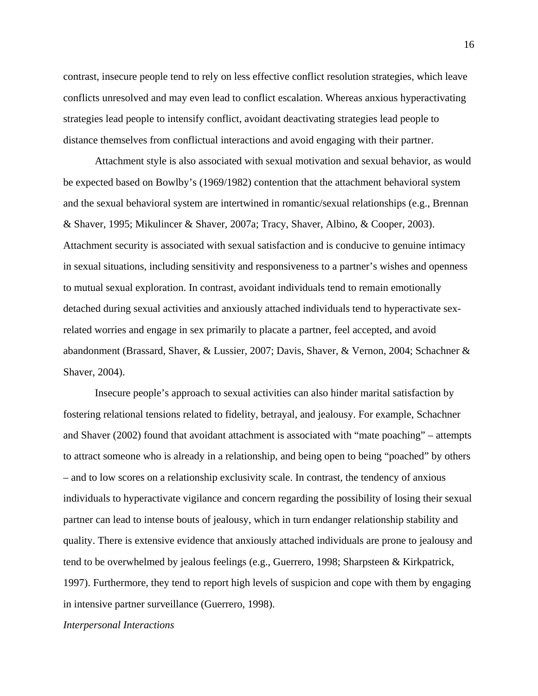contrast, insecure people tend to rely on less effective conflict resolution strategies, which leave conflicts unresolved and may even lead to conflict escalation. Whereas anxious hyperactivating strategies lead people to intensify conflict, avoidant deactivating strategies lead people to distance themselves from conflictual interactions and avoid engaging with their partner.

Attachment style is also associated with sexual motivation and sexual behavior, as would be expected based on Bowlby's (1969/1982) contention that the attachment behavioral system and the sexual behavioral system are intertwined in romantic/sexual relationships (e.g., Brennan & Shaver, 1995; Mikulincer & Shaver, 2007a; Tracy, Shaver, Albino, & Cooper, 2003). Attachment security is associated with sexual satisfaction and is conducive to genuine intimacy in sexual situations, including sensitivity and responsiveness to a partner's wishes and openness to mutual sexual exploration. In contrast, avoidant individuals tend to remain emotionally detached during sexual activities and anxiously attached individuals tend to hyperactivate sexrelated worries and engage in sex primarily to placate a partner, feel accepted, and avoid abandonment (Brassard, Shaver, & Lussier, 2007; Davis, Shaver, & Vernon, 2004; Schachner & Shaver, 2004).

Insecure people's approach to sexual activities can also hinder marital satisfaction by fostering relational tensions related to fidelity, betrayal, and jealousy. For example, Schachner and Shaver (2002) found that avoidant attachment is associated with "mate poaching" – attempts to attract someone who is already in a relationship, and being open to being "poached" by others – and to low scores on a relationship exclusivity scale. In contrast, the tendency of anxious individuals to hyperactivate vigilance and concern regarding the possibility of losing their sexual partner can lead to intense bouts of jealousy, which in turn endanger relationship stability and quality. There is extensive evidence that anxiously attached individuals are prone to jealousy and tend to be overwhelmed by jealous feelings (e.g., Guerrero, 1998; Sharpsteen & Kirkpatrick, 1997). Furthermore, they tend to report high levels of suspicion and cope with them by engaging in intensive partner surveillance (Guerrero, 1998).

*Interpersonal Interactions*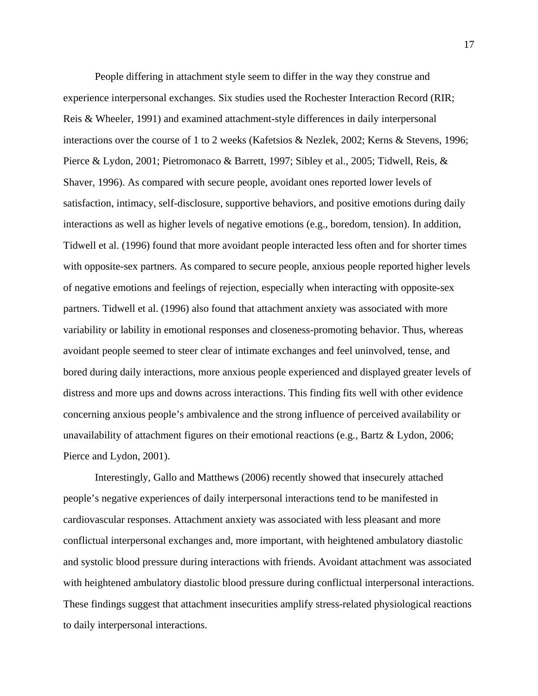People differing in attachment style seem to differ in the way they construe and experience interpersonal exchanges. Six studies used the Rochester Interaction Record (RIR; Reis & Wheeler, 1991) and examined attachment-style differences in daily interpersonal interactions over the course of 1 to 2 weeks (Kafetsios & Nezlek, 2002; Kerns & Stevens, 1996; Pierce & Lydon, 2001; Pietromonaco & Barrett, 1997; Sibley et al., 2005; Tidwell, Reis, & Shaver, 1996). As compared with secure people, avoidant ones reported lower levels of satisfaction, intimacy, self-disclosure, supportive behaviors, and positive emotions during daily interactions as well as higher levels of negative emotions (e.g., boredom, tension). In addition, Tidwell et al. (1996) found that more avoidant people interacted less often and for shorter times with opposite-sex partners. As compared to secure people, anxious people reported higher levels of negative emotions and feelings of rejection, especially when interacting with opposite-sex partners. Tidwell et al. (1996) also found that attachment anxiety was associated with more variability or lability in emotional responses and closeness-promoting behavior. Thus, whereas avoidant people seemed to steer clear of intimate exchanges and feel uninvolved, tense, and bored during daily interactions, more anxious people experienced and displayed greater levels of distress and more ups and downs across interactions. This finding fits well with other evidence concerning anxious people's ambivalence and the strong influence of perceived availability or unavailability of attachment figures on their emotional reactions (e.g., Bartz & Lydon, 2006; Pierce and Lydon, 2001).

Interestingly, Gallo and Matthews (2006) recently showed that insecurely attached people's negative experiences of daily interpersonal interactions tend to be manifested in cardiovascular responses. Attachment anxiety was associated with less pleasant and more conflictual interpersonal exchanges and, more important, with heightened ambulatory diastolic and systolic blood pressure during interactions with friends. Avoidant attachment was associated with heightened ambulatory diastolic blood pressure during conflictual interpersonal interactions. These findings suggest that attachment insecurities amplify stress-related physiological reactions to daily interpersonal interactions.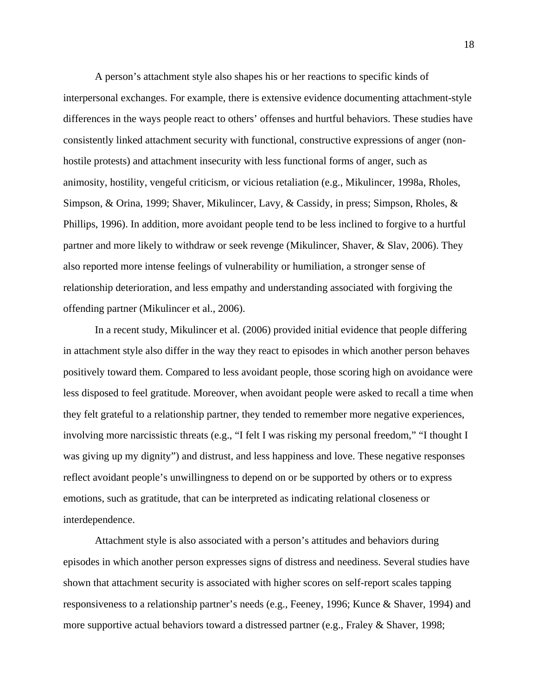A person's attachment style also shapes his or her reactions to specific kinds of interpersonal exchanges. For example, there is extensive evidence documenting attachment-style differences in the ways people react to others' offenses and hurtful behaviors. These studies have consistently linked attachment security with functional, constructive expressions of anger (nonhostile protests) and attachment insecurity with less functional forms of anger, such as animosity, hostility, vengeful criticism, or vicious retaliation (e.g., Mikulincer, 1998a, Rholes, Simpson, & Orina, 1999; Shaver, Mikulincer, Lavy, & Cassidy, in press; Simpson, Rholes, & Phillips, 1996). In addition, more avoidant people tend to be less inclined to forgive to a hurtful partner and more likely to withdraw or seek revenge (Mikulincer, Shaver, & Slav, 2006). They also reported more intense feelings of vulnerability or humiliation, a stronger sense of relationship deterioration, and less empathy and understanding associated with forgiving the offending partner (Mikulincer et al., 2006).

In a recent study, Mikulincer et al. (2006) provided initial evidence that people differing in attachment style also differ in the way they react to episodes in which another person behaves positively toward them. Compared to less avoidant people, those scoring high on avoidance were less disposed to feel gratitude. Moreover, when avoidant people were asked to recall a time when they felt grateful to a relationship partner, they tended to remember more negative experiences, involving more narcissistic threats (e.g., "I felt I was risking my personal freedom," "I thought I was giving up my dignity") and distrust, and less happiness and love. These negative responses reflect avoidant people's unwillingness to depend on or be supported by others or to express emotions, such as gratitude, that can be interpreted as indicating relational closeness or interdependence.

Attachment style is also associated with a person's attitudes and behaviors during episodes in which another person expresses signs of distress and neediness. Several studies have shown that attachment security is associated with higher scores on self-report scales tapping responsiveness to a relationship partner's needs (e.g., Feeney, 1996; Kunce & Shaver, 1994) and more supportive actual behaviors toward a distressed partner (e.g., Fraley & Shaver, 1998;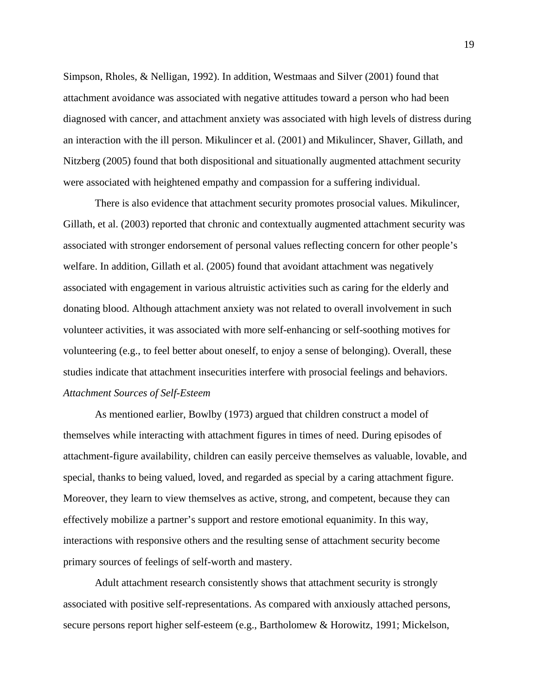Simpson, Rholes, & Nelligan, 1992). In addition, Westmaas and Silver (2001) found that attachment avoidance was associated with negative attitudes toward a person who had been diagnosed with cancer, and attachment anxiety was associated with high levels of distress during an interaction with the ill person. Mikulincer et al. (2001) and Mikulincer, Shaver, Gillath, and Nitzberg (2005) found that both dispositional and situationally augmented attachment security were associated with heightened empathy and compassion for a suffering individual.

There is also evidence that attachment security promotes prosocial values. Mikulincer, Gillath, et al. (2003) reported that chronic and contextually augmented attachment security was associated with stronger endorsement of personal values reflecting concern for other people's welfare. In addition, Gillath et al. (2005) found that avoidant attachment was negatively associated with engagement in various altruistic activities such as caring for the elderly and donating blood. Although attachment anxiety was not related to overall involvement in such volunteer activities, it was associated with more self-enhancing or self-soothing motives for volunteering (e.g., to feel better about oneself, to enjoy a sense of belonging). Overall, these studies indicate that attachment insecurities interfere with prosocial feelings and behaviors. *Attachment Sources of Self-Esteem* 

As mentioned earlier, Bowlby (1973) argued that children construct a model of themselves while interacting with attachment figures in times of need. During episodes of attachment-figure availability, children can easily perceive themselves as valuable, lovable, and special, thanks to being valued, loved, and regarded as special by a caring attachment figure. Moreover, they learn to view themselves as active, strong, and competent, because they can effectively mobilize a partner's support and restore emotional equanimity. In this way, interactions with responsive others and the resulting sense of attachment security become primary sources of feelings of self-worth and mastery.

Adult attachment research consistently shows that attachment security is strongly associated with positive self-representations. As compared with anxiously attached persons, secure persons report higher self-esteem (e.g., Bartholomew & Horowitz, 1991; Mickelson,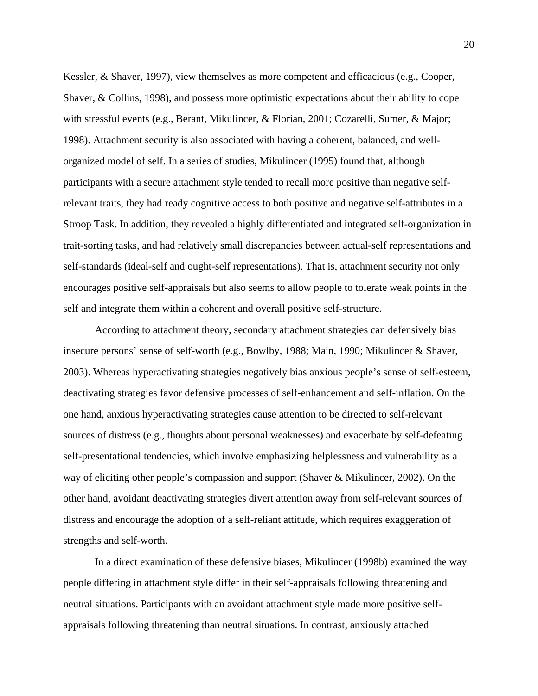Kessler, & Shaver, 1997), view themselves as more competent and efficacious (e.g., Cooper, Shaver, & Collins, 1998), and possess more optimistic expectations about their ability to cope with stressful events (e.g., Berant, Mikulincer, & Florian, 2001; Cozarelli, Sumer, & Major; 1998). Attachment security is also associated with having a coherent, balanced, and wellorganized model of self. In a series of studies, Mikulincer (1995) found that, although participants with a secure attachment style tended to recall more positive than negative selfrelevant traits, they had ready cognitive access to both positive and negative self-attributes in a Stroop Task. In addition, they revealed a highly differentiated and integrated self-organization in trait-sorting tasks, and had relatively small discrepancies between actual-self representations and self-standards (ideal-self and ought-self representations). That is, attachment security not only encourages positive self-appraisals but also seems to allow people to tolerate weak points in the self and integrate them within a coherent and overall positive self-structure.

According to attachment theory, secondary attachment strategies can defensively bias insecure persons' sense of self-worth (e.g., Bowlby, 1988; Main, 1990; Mikulincer & Shaver, 2003). Whereas hyperactivating strategies negatively bias anxious people's sense of self-esteem, deactivating strategies favor defensive processes of self-enhancement and self-inflation. On the one hand, anxious hyperactivating strategies cause attention to be directed to self-relevant sources of distress (e.g., thoughts about personal weaknesses) and exacerbate by self-defeating self-presentational tendencies, which involve emphasizing helplessness and vulnerability as a way of eliciting other people's compassion and support (Shaver & Mikulincer, 2002). On the other hand, avoidant deactivating strategies divert attention away from self-relevant sources of distress and encourage the adoption of a self-reliant attitude, which requires exaggeration of strengths and self-worth.

In a direct examination of these defensive biases, Mikulincer (1998b) examined the way people differing in attachment style differ in their self-appraisals following threatening and neutral situations. Participants with an avoidant attachment style made more positive selfappraisals following threatening than neutral situations. In contrast, anxiously attached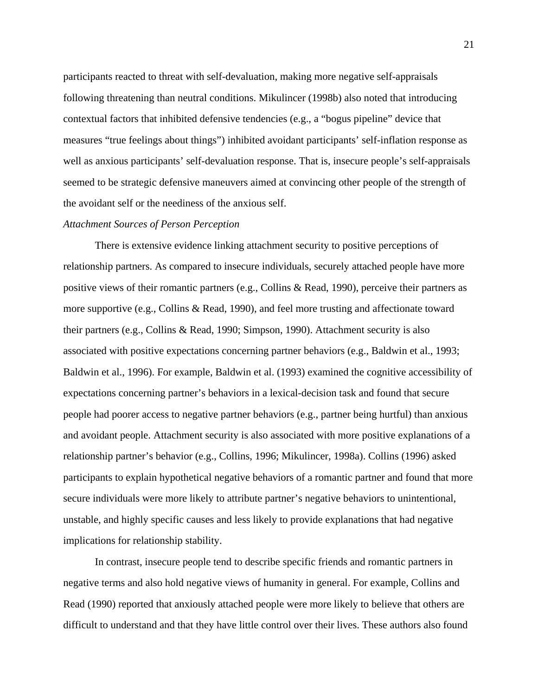participants reacted to threat with self-devaluation, making more negative self-appraisals following threatening than neutral conditions. Mikulincer (1998b) also noted that introducing contextual factors that inhibited defensive tendencies (e.g., a "bogus pipeline" device that measures "true feelings about things") inhibited avoidant participants' self-inflation response as well as anxious participants' self-devaluation response. That is, insecure people's self-appraisals seemed to be strategic defensive maneuvers aimed at convincing other people of the strength of the avoidant self or the neediness of the anxious self.

#### *Attachment Sources of Person Perception*

There is extensive evidence linking attachment security to positive perceptions of relationship partners. As compared to insecure individuals, securely attached people have more positive views of their romantic partners (e.g., Collins & Read, 1990), perceive their partners as more supportive (e.g., Collins & Read, 1990), and feel more trusting and affectionate toward their partners (e.g., Collins & Read, 1990; Simpson, 1990). Attachment security is also associated with positive expectations concerning partner behaviors (e.g., Baldwin et al., 1993; Baldwin et al., 1996). For example, Baldwin et al. (1993) examined the cognitive accessibility of expectations concerning partner's behaviors in a lexical-decision task and found that secure people had poorer access to negative partner behaviors (e.g., partner being hurtful) than anxious and avoidant people. Attachment security is also associated with more positive explanations of a relationship partner's behavior (e.g., Collins, 1996; Mikulincer, 1998a). Collins (1996) asked participants to explain hypothetical negative behaviors of a romantic partner and found that more secure individuals were more likely to attribute partner's negative behaviors to unintentional, unstable, and highly specific causes and less likely to provide explanations that had negative implications for relationship stability.

In contrast, insecure people tend to describe specific friends and romantic partners in negative terms and also hold negative views of humanity in general. For example, Collins and Read (1990) reported that anxiously attached people were more likely to believe that others are difficult to understand and that they have little control over their lives. These authors also found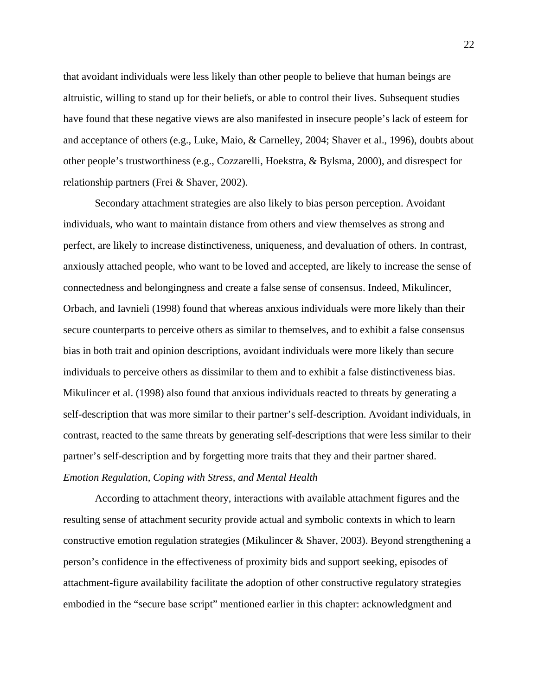that avoidant individuals were less likely than other people to believe that human beings are altruistic, willing to stand up for their beliefs, or able to control their lives. Subsequent studies have found that these negative views are also manifested in insecure people's lack of esteem for and acceptance of others (e.g., Luke, Maio, & Carnelley, 2004; Shaver et al., 1996), doubts about other people's trustworthiness (e.g., Cozzarelli, Hoekstra, & Bylsma, 2000), and disrespect for relationship partners (Frei & Shaver, 2002).

Secondary attachment strategies are also likely to bias person perception. Avoidant individuals, who want to maintain distance from others and view themselves as strong and perfect, are likely to increase distinctiveness, uniqueness, and devaluation of others. In contrast, anxiously attached people, who want to be loved and accepted, are likely to increase the sense of connectedness and belongingness and create a false sense of consensus. Indeed, Mikulincer, Orbach, and Iavnieli (1998) found that whereas anxious individuals were more likely than their secure counterparts to perceive others as similar to themselves, and to exhibit a false consensus bias in both trait and opinion descriptions, avoidant individuals were more likely than secure individuals to perceive others as dissimilar to them and to exhibit a false distinctiveness bias. Mikulincer et al. (1998) also found that anxious individuals reacted to threats by generating a self-description that was more similar to their partner's self-description. Avoidant individuals, in contrast, reacted to the same threats by generating self-descriptions that were less similar to their partner's self-description and by forgetting more traits that they and their partner shared. *Emotion Regulation, Coping with Stress, and Mental Health* 

According to attachment theory, interactions with available attachment figures and the resulting sense of attachment security provide actual and symbolic contexts in which to learn constructive emotion regulation strategies (Mikulincer & Shaver, 2003). Beyond strengthening a person's confidence in the effectiveness of proximity bids and support seeking, episodes of attachment-figure availability facilitate the adoption of other constructive regulatory strategies embodied in the "secure base script" mentioned earlier in this chapter: acknowledgment and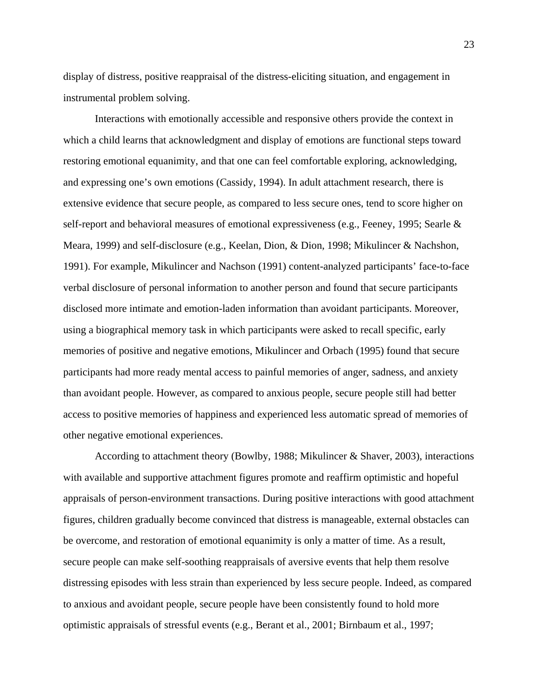display of distress, positive reappraisal of the distress-eliciting situation, and engagement in instrumental problem solving.

Interactions with emotionally accessible and responsive others provide the context in which a child learns that acknowledgment and display of emotions are functional steps toward restoring emotional equanimity, and that one can feel comfortable exploring, acknowledging, and expressing one's own emotions (Cassidy, 1994). In adult attachment research, there is extensive evidence that secure people, as compared to less secure ones, tend to score higher on self-report and behavioral measures of emotional expressiveness (e.g., Feeney, 1995; Searle & Meara, 1999) and self-disclosure (e.g., Keelan, Dion, & Dion, 1998; Mikulincer & Nachshon, 1991). For example, Mikulincer and Nachson (1991) content-analyzed participants' face-to-face verbal disclosure of personal information to another person and found that secure participants disclosed more intimate and emotion-laden information than avoidant participants. Moreover, using a biographical memory task in which participants were asked to recall specific, early memories of positive and negative emotions, Mikulincer and Orbach (1995) found that secure participants had more ready mental access to painful memories of anger, sadness, and anxiety than avoidant people. However, as compared to anxious people, secure people still had better access to positive memories of happiness and experienced less automatic spread of memories of other negative emotional experiences.

According to attachment theory (Bowlby, 1988; Mikulincer & Shaver, 2003), interactions with available and supportive attachment figures promote and reaffirm optimistic and hopeful appraisals of person-environment transactions. During positive interactions with good attachment figures, children gradually become convinced that distress is manageable, external obstacles can be overcome, and restoration of emotional equanimity is only a matter of time. As a result, secure people can make self-soothing reappraisals of aversive events that help them resolve distressing episodes with less strain than experienced by less secure people. Indeed, as compared to anxious and avoidant people, secure people have been consistently found to hold more optimistic appraisals of stressful events (e.g., Berant et al., 2001; Birnbaum et al., 1997;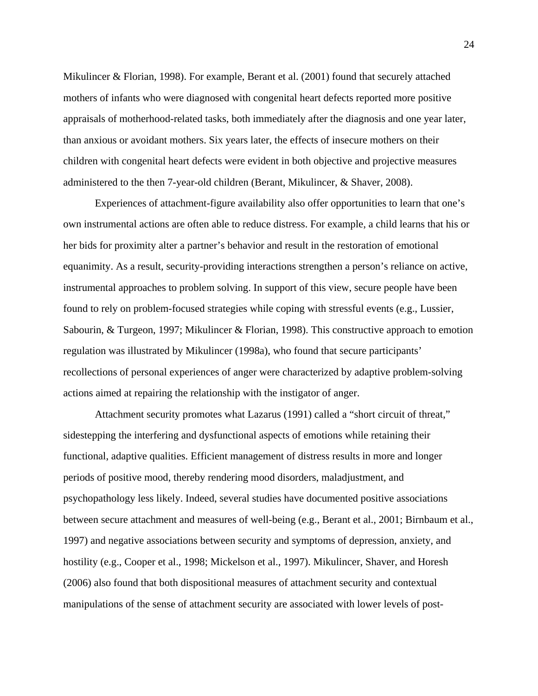Mikulincer & Florian, 1998). For example, Berant et al. (2001) found that securely attached mothers of infants who were diagnosed with congenital heart defects reported more positive appraisals of motherhood-related tasks, both immediately after the diagnosis and one year later, than anxious or avoidant mothers. Six years later, the effects of insecure mothers on their children with congenital heart defects were evident in both objective and projective measures administered to the then 7-year-old children (Berant, Mikulincer, & Shaver, 2008).

Experiences of attachment-figure availability also offer opportunities to learn that one's own instrumental actions are often able to reduce distress. For example, a child learns that his or her bids for proximity alter a partner's behavior and result in the restoration of emotional equanimity. As a result, security-providing interactions strengthen a person's reliance on active, instrumental approaches to problem solving. In support of this view, secure people have been found to rely on problem-focused strategies while coping with stressful events (e.g., Lussier, Sabourin, & Turgeon, 1997; Mikulincer & Florian, 1998). This constructive approach to emotion regulation was illustrated by Mikulincer (1998a), who found that secure participants' recollections of personal experiences of anger were characterized by adaptive problem-solving actions aimed at repairing the relationship with the instigator of anger.

Attachment security promotes what Lazarus (1991) called a "short circuit of threat," sidestepping the interfering and dysfunctional aspects of emotions while retaining their functional, adaptive qualities. Efficient management of distress results in more and longer periods of positive mood, thereby rendering mood disorders, maladjustment, and psychopathology less likely. Indeed, several studies have documented positive associations between secure attachment and measures of well-being (e.g., Berant et al., 2001; Birnbaum et al., 1997) and negative associations between security and symptoms of depression, anxiety, and hostility (e.g., Cooper et al., 1998; Mickelson et al., 1997). Mikulincer, Shaver, and Horesh (2006) also found that both dispositional measures of attachment security and contextual manipulations of the sense of attachment security are associated with lower levels of post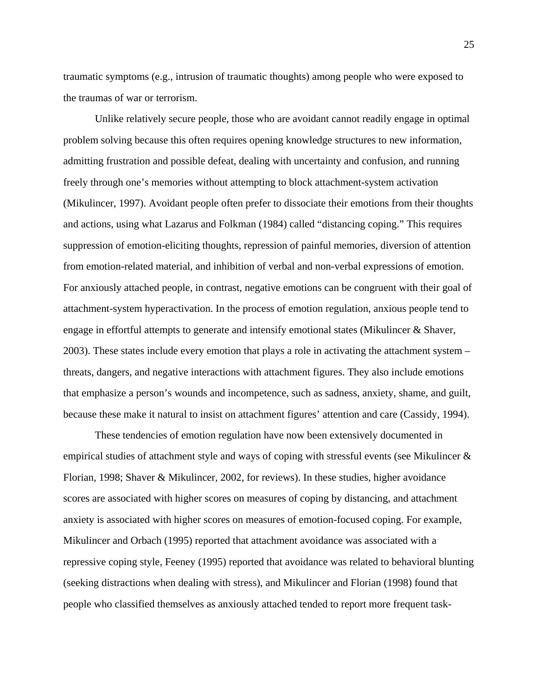traumatic symptoms (e.g., intrusion of traumatic thoughts) among people who were exposed to the traumas of war or terrorism.

Unlike relatively secure people, those who are avoidant cannot readily engage in optimal problem solving because this often requires opening knowledge structures to new information, admitting frustration and possible defeat, dealing with uncertainty and confusion, and running freely through one's memories without attempting to block attachment-system activation (Mikulincer, 1997). Avoidant people often prefer to dissociate their emotions from their thoughts and actions, using what Lazarus and Folkman (1984) called "distancing coping." This requires suppression of emotion-eliciting thoughts, repression of painful memories, diversion of attention from emotion-related material, and inhibition of verbal and non-verbal expressions of emotion. For anxiously attached people, in contrast, negative emotions can be congruent with their goal of attachment-system hyperactivation. In the process of emotion regulation, anxious people tend to engage in effortful attempts to generate and intensify emotional states (Mikulincer & Shaver, 2003). These states include every emotion that plays a role in activating the attachment system – threats, dangers, and negative interactions with attachment figures. They also include emotions that emphasize a person's wounds and incompetence, such as sadness, anxiety, shame, and guilt, because these make it natural to insist on attachment figures' attention and care (Cassidy, 1994).

These tendencies of emotion regulation have now been extensively documented in empirical studies of attachment style and ways of coping with stressful events (see Mikulincer & Florian, 1998; Shaver & Mikulincer, 2002, for reviews). In these studies, higher avoidance scores are associated with higher scores on measures of coping by distancing, and attachment anxiety is associated with higher scores on measures of emotion-focused coping. For example, Mikulincer and Orbach (1995) reported that attachment avoidance was associated with a repressive coping style, Feeney (1995) reported that avoidance was related to behavioral blunting (seeking distractions when dealing with stress), and Mikulincer and Florian (1998) found that people who classified themselves as anxiously attached tended to report more frequent task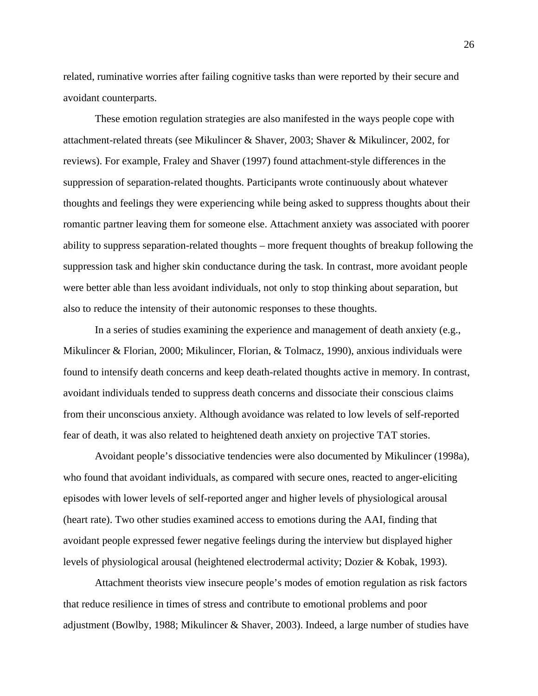related, ruminative worries after failing cognitive tasks than were reported by their secure and avoidant counterparts.

These emotion regulation strategies are also manifested in the ways people cope with attachment-related threats (see Mikulincer & Shaver, 2003; Shaver & Mikulincer, 2002, for reviews). For example, Fraley and Shaver (1997) found attachment-style differences in the suppression of separation-related thoughts. Participants wrote continuously about whatever thoughts and feelings they were experiencing while being asked to suppress thoughts about their romantic partner leaving them for someone else. Attachment anxiety was associated with poorer ability to suppress separation-related thoughts – more frequent thoughts of breakup following the suppression task and higher skin conductance during the task. In contrast, more avoidant people were better able than less avoidant individuals, not only to stop thinking about separation, but also to reduce the intensity of their autonomic responses to these thoughts.

In a series of studies examining the experience and management of death anxiety (e.g., Mikulincer & Florian, 2000; Mikulincer, Florian, & Tolmacz, 1990), anxious individuals were found to intensify death concerns and keep death-related thoughts active in memory. In contrast, avoidant individuals tended to suppress death concerns and dissociate their conscious claims from their unconscious anxiety. Although avoidance was related to low levels of self-reported fear of death, it was also related to heightened death anxiety on projective TAT stories.

Avoidant people's dissociative tendencies were also documented by Mikulincer (1998a), who found that avoidant individuals, as compared with secure ones, reacted to anger-eliciting episodes with lower levels of self-reported anger and higher levels of physiological arousal (heart rate). Two other studies examined access to emotions during the AAI, finding that avoidant people expressed fewer negative feelings during the interview but displayed higher levels of physiological arousal (heightened electrodermal activity; Dozier & Kobak, 1993).

Attachment theorists view insecure people's modes of emotion regulation as risk factors that reduce resilience in times of stress and contribute to emotional problems and poor adjustment (Bowlby, 1988; Mikulincer & Shaver, 2003). Indeed, a large number of studies have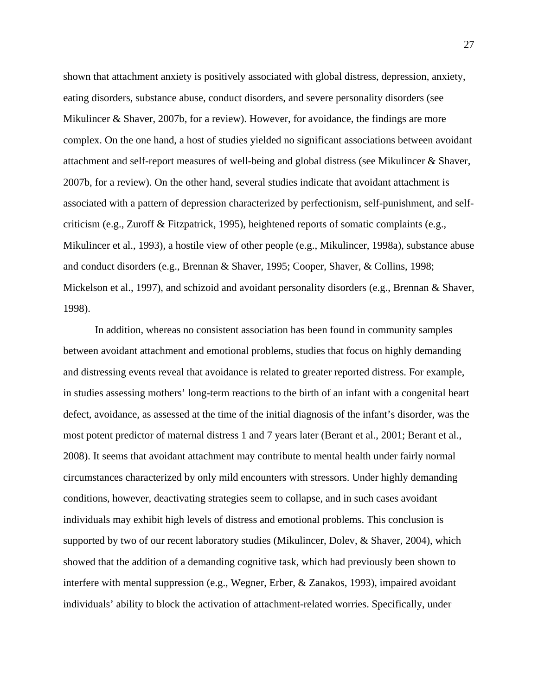shown that attachment anxiety is positively associated with global distress, depression, anxiety, eating disorders, substance abuse, conduct disorders, and severe personality disorders (see Mikulincer & Shaver, 2007b, for a review). However, for avoidance, the findings are more complex. On the one hand, a host of studies yielded no significant associations between avoidant attachment and self-report measures of well-being and global distress (see Mikulincer & Shaver, 2007b, for a review). On the other hand, several studies indicate that avoidant attachment is associated with a pattern of depression characterized by perfectionism, self-punishment, and selfcriticism (e.g., Zuroff & Fitzpatrick, 1995), heightened reports of somatic complaints (e.g., Mikulincer et al., 1993), a hostile view of other people (e.g., Mikulincer, 1998a), substance abuse and conduct disorders (e.g., Brennan & Shaver, 1995; Cooper, Shaver, & Collins, 1998; Mickelson et al., 1997), and schizoid and avoidant personality disorders (e.g., Brennan & Shaver, 1998).

In addition, whereas no consistent association has been found in community samples between avoidant attachment and emotional problems, studies that focus on highly demanding and distressing events reveal that avoidance is related to greater reported distress. For example, in studies assessing mothers' long-term reactions to the birth of an infant with a congenital heart defect, avoidance, as assessed at the time of the initial diagnosis of the infant's disorder, was the most potent predictor of maternal distress 1 and 7 years later (Berant et al., 2001; Berant et al., 2008). It seems that avoidant attachment may contribute to mental health under fairly normal circumstances characterized by only mild encounters with stressors. Under highly demanding conditions, however, deactivating strategies seem to collapse, and in such cases avoidant individuals may exhibit high levels of distress and emotional problems. This conclusion is supported by two of our recent laboratory studies (Mikulincer, Dolev, & Shaver, 2004), which showed that the addition of a demanding cognitive task, which had previously been shown to interfere with mental suppression (e.g., Wegner, Erber, & Zanakos, 1993), impaired avoidant individuals' ability to block the activation of attachment-related worries. Specifically, under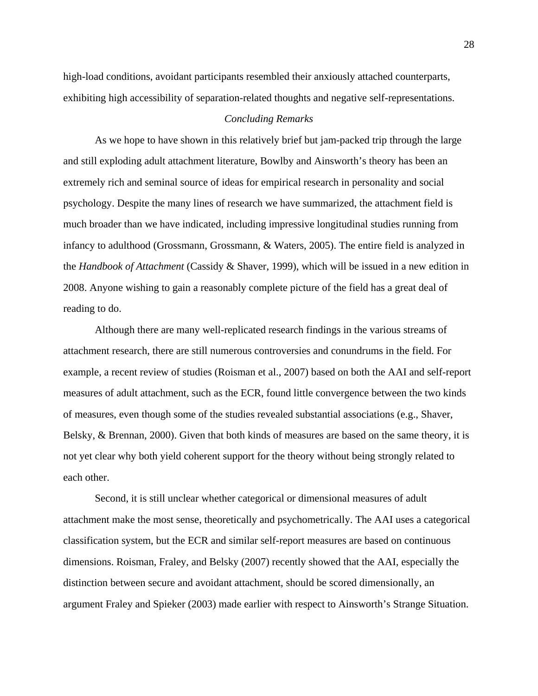high-load conditions, avoidant participants resembled their anxiously attached counterparts, exhibiting high accessibility of separation-related thoughts and negative self-representations.

## *Concluding Remarks*

 As we hope to have shown in this relatively brief but jam-packed trip through the large and still exploding adult attachment literature, Bowlby and Ainsworth's theory has been an extremely rich and seminal source of ideas for empirical research in personality and social psychology. Despite the many lines of research we have summarized, the attachment field is much broader than we have indicated, including impressive longitudinal studies running from infancy to adulthood (Grossmann, Grossmann, & Waters, 2005). The entire field is analyzed in the *Handbook of Attachment* (Cassidy & Shaver, 1999), which will be issued in a new edition in 2008. Anyone wishing to gain a reasonably complete picture of the field has a great deal of reading to do.

 Although there are many well-replicated research findings in the various streams of attachment research, there are still numerous controversies and conundrums in the field. For example, a recent review of studies (Roisman et al., 2007) based on both the AAI and self-report measures of adult attachment, such as the ECR, found little convergence between the two kinds of measures, even though some of the studies revealed substantial associations (e.g., Shaver, Belsky, & Brennan, 2000). Given that both kinds of measures are based on the same theory, it is not yet clear why both yield coherent support for the theory without being strongly related to each other.

 Second, it is still unclear whether categorical or dimensional measures of adult attachment make the most sense, theoretically and psychometrically. The AAI uses a categorical classification system, but the ECR and similar self-report measures are based on continuous dimensions. Roisman, Fraley, and Belsky (2007) recently showed that the AAI, especially the distinction between secure and avoidant attachment, should be scored dimensionally, an argument Fraley and Spieker (2003) made earlier with respect to Ainsworth's Strange Situation.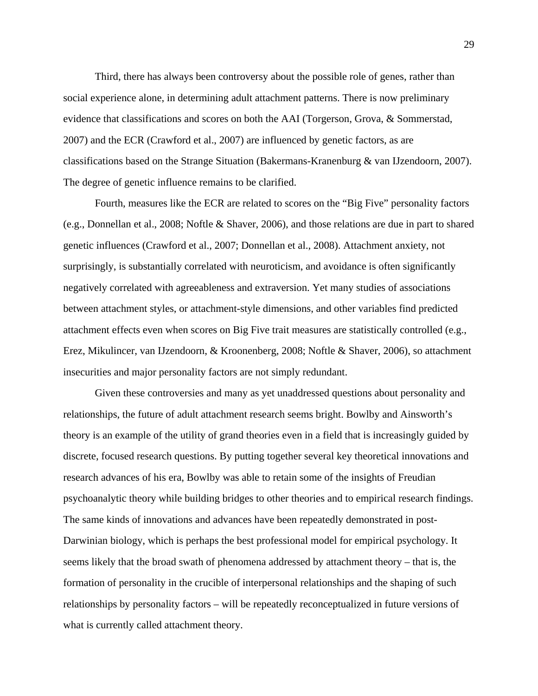Third, there has always been controversy about the possible role of genes, rather than social experience alone, in determining adult attachment patterns. There is now preliminary evidence that classifications and scores on both the AAI (Torgerson, Grova, & Sommerstad, 2007) and the ECR (Crawford et al., 2007) are influenced by genetic factors, as are classifications based on the Strange Situation (Bakermans-Kranenburg & van IJzendoorn, 2007). The degree of genetic influence remains to be clarified.

 Fourth, measures like the ECR are related to scores on the "Big Five" personality factors (e.g., Donnellan et al., 2008; Noftle & Shaver, 2006), and those relations are due in part to shared genetic influences (Crawford et al., 2007; Donnellan et al., 2008). Attachment anxiety, not surprisingly, is substantially correlated with neuroticism, and avoidance is often significantly negatively correlated with agreeableness and extraversion. Yet many studies of associations between attachment styles, or attachment-style dimensions, and other variables find predicted attachment effects even when scores on Big Five trait measures are statistically controlled (e.g., Erez, Mikulincer, van IJzendoorn, & Kroonenberg, 2008; Noftle & Shaver, 2006), so attachment insecurities and major personality factors are not simply redundant.

 Given these controversies and many as yet unaddressed questions about personality and relationships, the future of adult attachment research seems bright. Bowlby and Ainsworth's theory is an example of the utility of grand theories even in a field that is increasingly guided by discrete, focused research questions. By putting together several key theoretical innovations and research advances of his era, Bowlby was able to retain some of the insights of Freudian psychoanalytic theory while building bridges to other theories and to empirical research findings. The same kinds of innovations and advances have been repeatedly demonstrated in post-Darwinian biology, which is perhaps the best professional model for empirical psychology. It seems likely that the broad swath of phenomena addressed by attachment theory – that is, the formation of personality in the crucible of interpersonal relationships and the shaping of such relationships by personality factors – will be repeatedly reconceptualized in future versions of what is currently called attachment theory.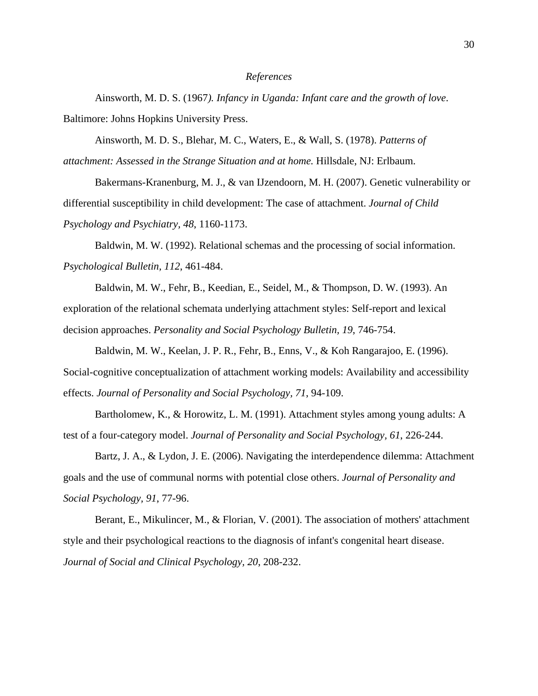## *References*

Ainsworth, M. D. S. (1967*). Infancy in Uganda: Infant care and the growth of love*. Baltimore: Johns Hopkins University Press.

Ainsworth, M. D. S., Blehar, M. C., Waters, E., & Wall, S. (1978). *Patterns of attachment: Assessed in the Strange Situation and at home.* Hillsdale, NJ: Erlbaum.

Bakermans-Kranenburg, M. J., & van IJzendoorn, M. H. (2007). Genetic vulnerability or differential susceptibility in child development: The case of attachment. *Journal of Child Psychology and Psychiatry, 48*, 1160-1173.

Baldwin, M. W. (1992). Relational schemas and the processing of social information. *Psychological Bulletin, 112*, 461-484.

Baldwin, M. W., Fehr, B., Keedian, E., Seidel, M., & Thompson, D. W. (1993). An exploration of the relational schemata underlying attachment styles: Self-report and lexical decision approaches. *Personality and Social Psychology Bulletin, 19*, 746-754.

Baldwin, M. W., Keelan, J. P. R., Fehr, B., Enns, V., & Koh Rangarajoo, E. (1996). Social-cognitive conceptualization of attachment working models: Availability and accessibility effects. *Journal of Personality and Social Psychology, 71*, 94-109.

Bartholomew, K., & Horowitz, L. M. (1991). Attachment styles among young adults: A test of a four-category model. *Journal of Personality and Social Psychology, 61*, 226-244.

Bartz, J. A., & Lydon, J. E. (2006). Navigating the interdependence dilemma: Attachment goals and the use of communal norms with potential close others. *Journal of Personality and Social Psychology, 91*, 77-96.

Berant, E., Mikulincer, M., & Florian, V. (2001). The association of mothers' attachment style and their psychological reactions to the diagnosis of infant's congenital heart disease. *Journal of Social and Clinical Psychology, 20*, 208-232.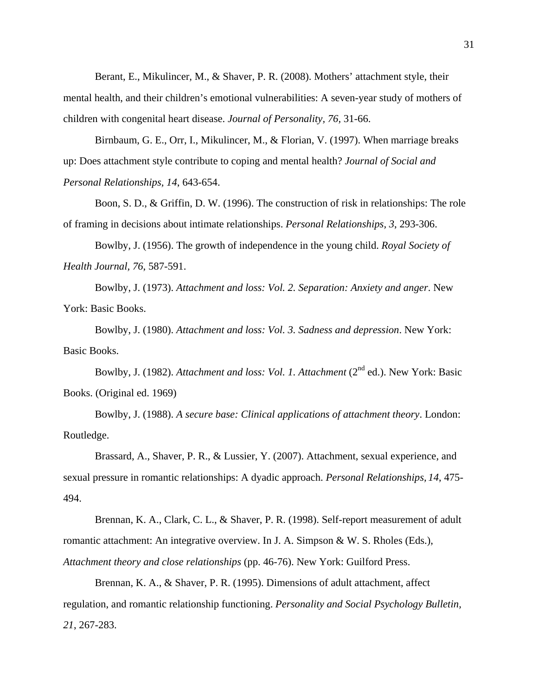Berant, E., Mikulincer, M., & Shaver, P. R. (2008). Mothers' attachment style, their mental health, and their children's emotional vulnerabilities: A seven-year study of mothers of children with congenital heart disease. *Journal of Personality, 76,* 31-66.

Birnbaum, G. E., Orr, I., Mikulincer, M., & Florian, V. (1997). When marriage breaks up: Does attachment style contribute to coping and mental health? *Journal of Social and Personal Relationships, 14*, 643-654.

Boon, S. D., & Griffin, D. W. (1996). The construction of risk in relationships: The role of framing in decisions about intimate relationships. *Personal Relationships, 3*, 293-306.

Bowlby, J. (1956). The growth of independence in the young child. *Royal Society of Health Journal, 76*, 587-591.

Bowlby, J. (1973). *Attachment and loss: Vol. 2. Separation: Anxiety and anger*. New York: Basic Books.

Bowlby, J. (1980). *Attachment and loss: Vol. 3. Sadness and depression*. New York: Basic Books.

Bowlby, J. (1982). *Attachment and loss: Vol. 1. Attachment* (2<sup>nd</sup> ed.). New York: Basic Books. (Original ed. 1969)

Bowlby, J. (1988). *A secure base: Clinical applications of attachment theory*. London: Routledge.

Brassard, A., Shaver, P. R., & Lussier, Y. (2007). Attachment, sexual experience, and sexual pressure in romantic relationships: A dyadic approach. *Personal Relationships, 14*, 475- 494.

Brennan, K. A., Clark, C. L., & Shaver, P. R. (1998). Self-report measurement of adult romantic attachment: An integrative overview. In J. A. Simpson & W. S. Rholes (Eds.), *Attachment theory and close relationships* (pp. 46-76). New York: Guilford Press.

Brennan, K. A., & Shaver, P. R. (1995). Dimensions of adult attachment, affect regulation, and romantic relationship functioning. *Personality and Social Psychology Bulletin, 21*, 267-283.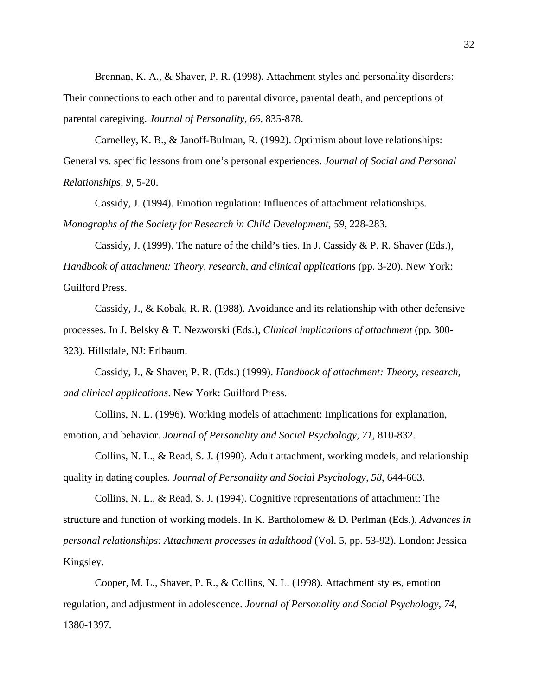Brennan, K. A., & Shaver, P. R. (1998). Attachment styles and personality disorders:

Their connections to each other and to parental divorce, parental death, and perceptions of parental caregiving. *Journal of Personality, 66*, 835-878.

Carnelley, K. B., & Janoff-Bulman, R. (1992). Optimism about love relationships: General vs. specific lessons from one's personal experiences. *Journal of Social and Personal Relationships, 9*, 5-20.

Cassidy, J. (1994). Emotion regulation: Influences of attachment relationships. *Monographs of the Society for Research in Child Development, 59*, 228-283.

Cassidy, J. (1999). The nature of the child's ties. In J. Cassidy & P. R. Shaver (Eds.), *Handbook of attachment: Theory, research, and clinical applications* (pp. 3-20). New York: Guilford Press.

Cassidy, J., & Kobak, R. R. (1988). Avoidance and its relationship with other defensive processes. In J. Belsky & T. Nezworski (Eds.), *Clinical implications of attachment* (pp. 300- 323). Hillsdale, NJ: Erlbaum.

Cassidy, J., & Shaver, P. R. (Eds.) (1999). *Handbook of attachment: Theory, research, and clinical applications*. New York: Guilford Press.

Collins, N. L. (1996). Working models of attachment: Implications for explanation, emotion, and behavior. *Journal of Personality and Social Psychology, 71*, 810-832.

Collins, N. L., & Read, S. J. (1990). Adult attachment, working models, and relationship quality in dating couples. *Journal of Personality and Social Psychology, 58*, 644-663.

Collins, N. L., & Read, S. J. (1994). Cognitive representations of attachment: The structure and function of working models. In K. Bartholomew & D. Perlman (Eds.), *Advances in personal relationships: Attachment processes in adulthood* (Vol. 5, pp. 53-92). London: Jessica Kingsley.

Cooper, M. L., Shaver, P. R., & Collins, N. L. (1998). Attachment styles, emotion regulation, and adjustment in adolescence. *Journal of Personality and Social Psychology, 74*, 1380-1397.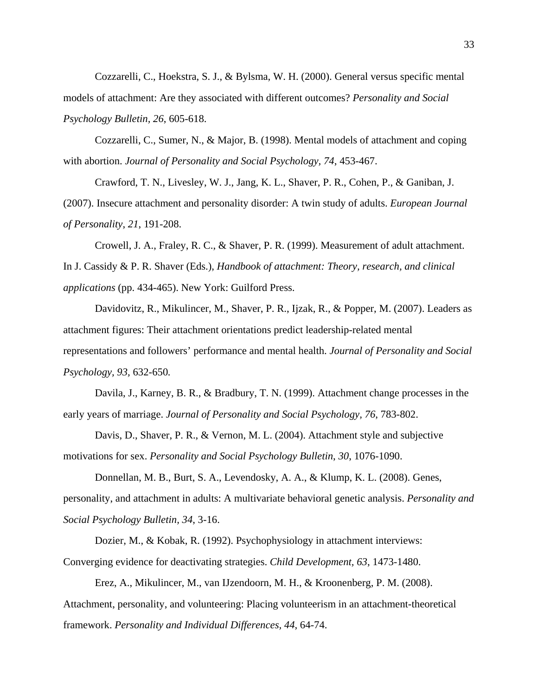Cozzarelli, C., Hoekstra, S. J., & Bylsma, W. H. (2000). General versus specific mental models of attachment: Are they associated with different outcomes? *Personality and Social Psychology Bulletin, 26*, 605-618.

Cozzarelli, C., Sumer, N., & Major, B. (1998). Mental models of attachment and coping with abortion. *Journal of Personality and Social Psychology, 74*, 453-467.

Crawford, T. N., Livesley, W. J., Jang, K. L., Shaver, P. R., Cohen, P., & Ganiban, J. (2007). Insecure attachment and personality disorder: A twin study of adults. *European Journal of Personality*, *21*, 191-208.

Crowell, J. A., Fraley, R. C., & Shaver, P. R. (1999). Measurement of adult attachment. In J. Cassidy & P. R. Shaver (Eds.), *Handbook of attachment: Theory, research, and clinical applications* (pp. 434-465). New York: Guilford Press.

Davidovitz, R., Mikulincer, M., Shaver, P. R., Ijzak, R., & Popper, M. (2007). Leaders as attachment figures: Their attachment orientations predict leadership-related mental representations and followers' performance and mental health. *Journal of Personality and Social Psychology, 93,* 632-650*.*

Davila, J., Karney, B. R., & Bradbury, T. N. (1999). Attachment change processes in the early years of marriage. *Journal of Personality and Social Psychology, 76*, 783-802.

Davis, D., Shaver, P. R., & Vernon, M. L. (2004). Attachment style and subjective motivations for sex. *Personality and Social Psychology Bulletin*, *30*, 1076-1090.

 Donnellan, M. B., Burt, S. A., Levendosky, A. A., & Klump, K. L. (2008). Genes, personality, and attachment in adults: A multivariate behavioral genetic analysis. *Personality and Social Psychology Bulletin, 34*, 3-16.

Dozier, M., & Kobak, R. (1992). Psychophysiology in attachment interviews: Converging evidence for deactivating strategies. *Child Development, 63*, 1473-1480.

Erez, A., Mikulincer, M., van IJzendoorn, M. H., & Kroonenberg, P. M. (2008). Attachment, personality, and volunteering: Placing volunteerism in an attachment-theoretical framework. *Personality and Individual Differences, 44*, 64-74.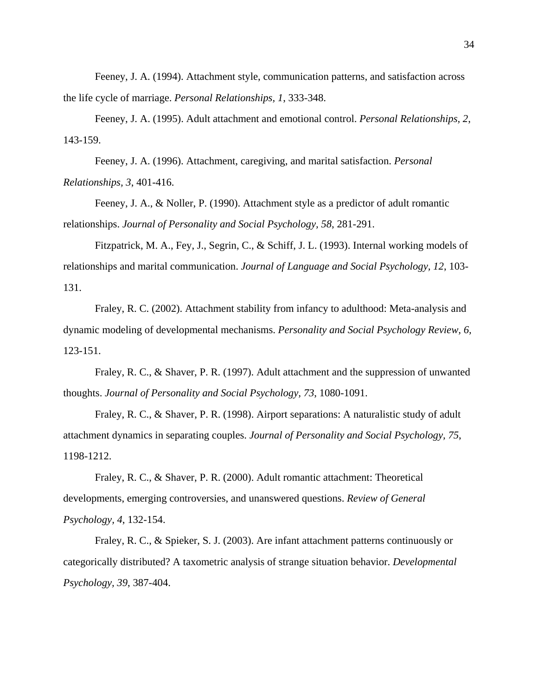Feeney, J. A. (1994). Attachment style, communication patterns, and satisfaction across the life cycle of marriage. *Personal Relationships, 1*, 333-348.

Feeney, J. A. (1995). Adult attachment and emotional control. *Personal Relationships, 2*, 143-159.

Feeney, J. A. (1996). Attachment, caregiving, and marital satisfaction. *Personal Relationships, 3*, 401-416.

Feeney, J. A., & Noller, P. (1990). Attachment style as a predictor of adult romantic relationships. *Journal of Personality and Social Psychology, 58*, 281-291.

Fitzpatrick, M. A., Fey, J., Segrin, C., & Schiff, J. L. (1993). Internal working models of relationships and marital communication. *Journal of Language and Social Psychology, 12*, 103- 131.

Fraley, R. C. (2002). Attachment stability from infancy to adulthood: Meta-analysis and dynamic modeling of developmental mechanisms. *Personality and Social Psychology Review, 6,* 123-151.

Fraley, R. C., & Shaver, P. R. (1997). Adult attachment and the suppression of unwanted thoughts. *Journal of Personality and Social Psychology, 73*, 1080-1091.

Fraley, R. C., & Shaver, P. R. (1998). Airport separations: A naturalistic study of adult attachment dynamics in separating couples. *Journal of Personality and Social Psychology, 75*, 1198-1212.

Fraley, R. C., & Shaver, P. R. (2000). Adult romantic attachment: Theoretical developments, emerging controversies, and unanswered questions. *Review of General Psychology, 4*, 132-154.

Fraley, R. C., & Spieker, S. J. (2003). Are infant attachment patterns continuously or categorically distributed? A taxometric analysis of strange situation behavior. *Developmental Psychology, 39*, 387-404.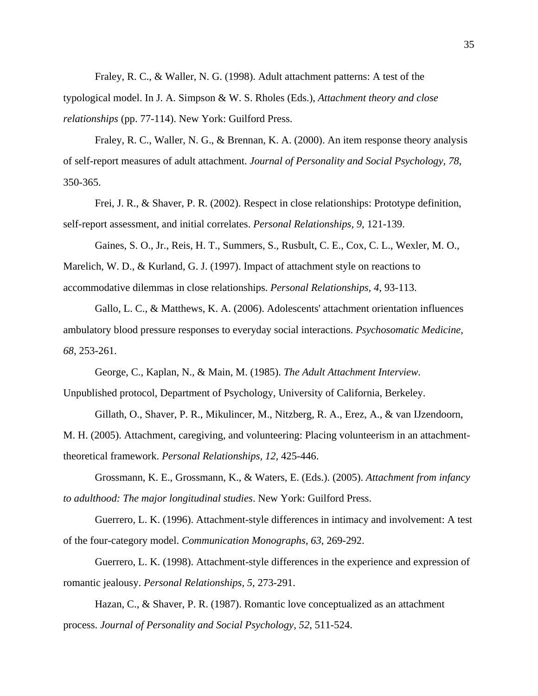Fraley, R. C., & Waller, N. G. (1998). Adult attachment patterns: A test of the

typological model. In J. A. Simpson & W. S. Rholes (Eds.), *Attachment theory and close relationships* (pp. 77-114). New York: Guilford Press.

Fraley, R. C., Waller, N. G., & Brennan, K. A. (2000). An item response theory analysis of self-report measures of adult attachment. *Journal of Personality and Social Psychology, 78*, 350-365.

Frei, J. R., & Shaver, P. R. (2002). Respect in close relationships: Prototype definition, self-report assessment, and initial correlates. *Personal Relationships, 9*, 121-139.

Gaines, S. O., Jr., Reis, H. T., Summers, S., Rusbult, C. E., Cox, C. L., Wexler, M. O., Marelich, W. D., & Kurland, G. J. (1997). Impact of attachment style on reactions to accommodative dilemmas in close relationships. *Personal Relationships, 4*, 93-113.

Gallo, L. C., & Matthews, K. A. (2006). Adolescents' attachment orientation influences ambulatory blood pressure responses to everyday social interactions. *Psychosomatic Medicine, 68,* 253-261.

George, C., Kaplan, N., & Main, M. (1985). *The Adult Attachment Interview*.

Unpublished protocol, Department of Psychology, University of California, Berkeley.

Gillath, O., Shaver, P. R., Mikulincer, M., Nitzberg, R. A., Erez, A., & van IJzendoorn,

M. H. (2005). Attachment, caregiving, and volunteering: Placing volunteerism in an attachmenttheoretical framework. *Personal Relationships, 12,* 425-446.

Grossmann, K. E., Grossmann, K., & Waters, E. (Eds.). (2005). *Attachment from infancy to adulthood: The major longitudinal studies*. New York: Guilford Press.

Guerrero, L. K. (1996). Attachment-style differences in intimacy and involvement: A test of the four-category model. *Communication Monographs, 63*, 269-292.

Guerrero, L. K. (1998). Attachment-style differences in the experience and expression of romantic jealousy. *Personal Relationships, 5*, 273-291.

Hazan, C., & Shaver, P. R. (1987). Romantic love conceptualized as an attachment process. *Journal of Personality and Social Psychology, 52*, 511-524.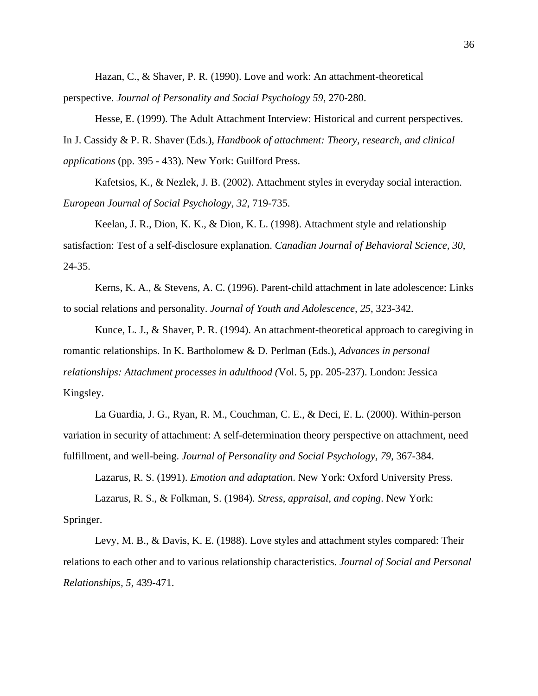Hazan, C., & Shaver, P. R. (1990). Love and work: An attachment-theoretical perspective. *Journal of Personality and Social Psychology 59*, 270-280.

Hesse, E. (1999). The Adult Attachment Interview: Historical and current perspectives. In J. Cassidy & P. R. Shaver (Eds.), *Handbook of attachment: Theory, research, and clinical applications* (pp. 395 - 433). New York: Guilford Press.

Kafetsios, K., & Nezlek, J. B. (2002). Attachment styles in everyday social interaction. *European Journal of Social Psychology, 32*, 719-735.

Keelan, J. R., Dion, K. K., & Dion, K. L. (1998). Attachment style and relationship satisfaction: Test of a self-disclosure explanation. *Canadian Journal of Behavioral Science, 30*, 24-35.

Kerns, K. A., & Stevens, A. C. (1996). Parent-child attachment in late adolescence: Links to social relations and personality. *Journal of Youth and Adolescence, 25*, 323-342.

Kunce, L. J., & Shaver, P. R. (1994). An attachment-theoretical approach to caregiving in romantic relationships. In K. Bartholomew & D. Perlman (Eds.), *Advances in personal relationships: Attachment processes in adulthood (*Vol. 5, pp. 205-237). London: Jessica Kingsley.

La Guardia, J. G., Ryan, R. M., Couchman, C. E., & Deci, E. L. (2000). Within-person variation in security of attachment: A self-determination theory perspective on attachment, need fulfillment, and well-being. *Journal of Personality and Social Psychology, 79*, 367-384.

Lazarus, R. S. (1991). *Emotion and adaptation*. New York: Oxford University Press.

Lazarus, R. S., & Folkman, S. (1984). *Stress, appraisal, and coping*. New York: Springer.

Levy, M. B., & Davis, K. E. (1988). Love styles and attachment styles compared: Their relations to each other and to various relationship characteristics. *Journal of Social and Personal Relationships, 5*, 439-471.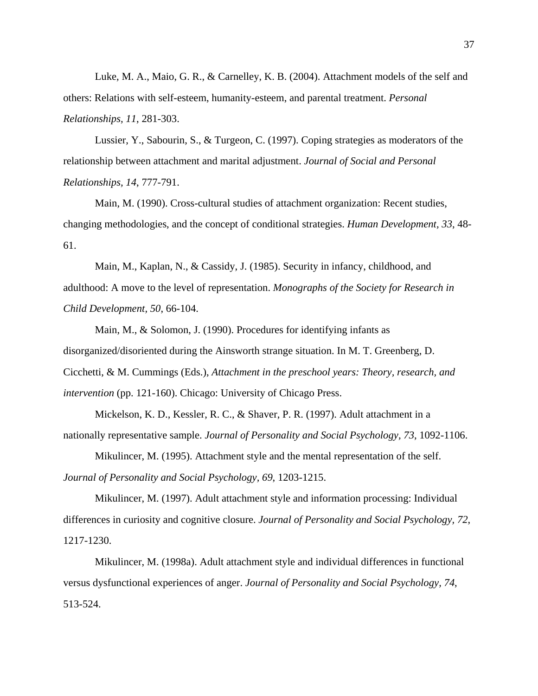Luke, M. A., Maio, G. R., & Carnelley, K. B. (2004). Attachment models of the self and others: Relations with self-esteem, humanity-esteem, and parental treatment. *Personal Relationships, 11*, 281-303.

Lussier, Y., Sabourin, S., & Turgeon, C. (1997). Coping strategies as moderators of the relationship between attachment and marital adjustment. *Journal of Social and Personal Relationships, 14*, 777-791.

Main, M. (1990). Cross-cultural studies of attachment organization: Recent studies, changing methodologies, and the concept of conditional strategies. *Human Development, 33*, 48- 61.

Main, M., Kaplan, N., & Cassidy, J. (1985). Security in infancy, childhood, and adulthood: A move to the level of representation. *Monographs of the Society for Research in Child Development, 50*, 66-104.

Main, M., & Solomon, J. (1990). Procedures for identifying infants as disorganized/disoriented during the Ainsworth strange situation. In M. T. Greenberg, D. Cicchetti, & M. Cummings (Eds.), *Attachment in the preschool years: Theory, research, and intervention* (pp. 121-160). Chicago: University of Chicago Press.

Mickelson, K. D., Kessler, R. C., & Shaver, P. R. (1997). Adult attachment in a nationally representative sample. *Journal of Personality and Social Psychology, 73*, 1092-1106.

Mikulincer, M. (1995). Attachment style and the mental representation of the self. *Journal of Personality and Social Psychology, 69*, 1203-1215.

Mikulincer, M. (1997). Adult attachment style and information processing: Individual differences in curiosity and cognitive closure. *Journal of Personality and Social Psychology, 72*, 1217-1230.

Mikulincer, M. (1998a). Adult attachment style and individual differences in functional versus dysfunctional experiences of anger. *Journal of Personality and Social Psychology, 74*, 513-524.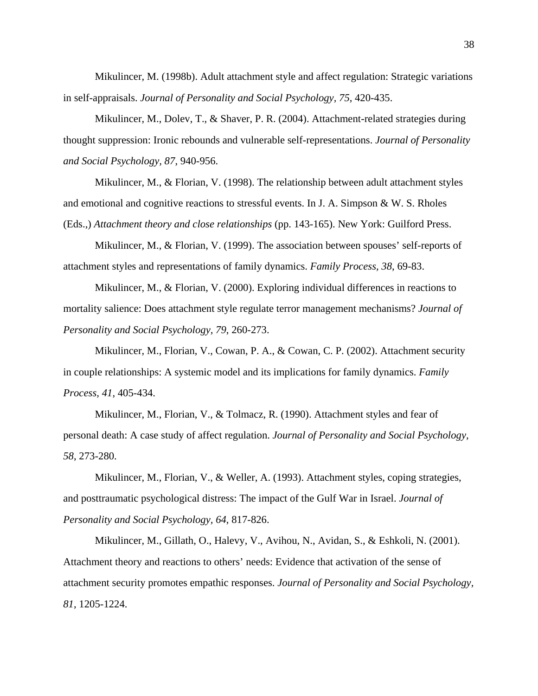Mikulincer, M. (1998b). Adult attachment style and affect regulation: Strategic variations in self-appraisals. *Journal of Personality and Social Psychology, 75*, 420-435.

Mikulincer, M., Dolev, T., & Shaver, P. R. (2004). Attachment-related strategies during thought suppression: Ironic rebounds and vulnerable self-representations. *Journal of Personality and Social Psychology, 87*, 940-956.

Mikulincer, M., & Florian, V. (1998). The relationship between adult attachment styles and emotional and cognitive reactions to stressful events. In J. A. Simpson & W. S. Rholes (Eds.,) *Attachment theory and close relationships* (pp. 143-165). New York: Guilford Press.

Mikulincer, M., & Florian, V. (1999). The association between spouses' self-reports of attachment styles and representations of family dynamics. *Family Process, 38*, 69-83.

Mikulincer, M., & Florian, V. (2000). Exploring individual differences in reactions to mortality salience: Does attachment style regulate terror management mechanisms? *Journal of Personality and Social Psychology, 79*, 260-273.

Mikulincer, M., Florian, V., Cowan, P. A., & Cowan, C. P. (2002). Attachment security in couple relationships: A systemic model and its implications for family dynamics. *Family Process, 41*, 405-434.

Mikulincer, M., Florian, V., & Tolmacz, R. (1990). Attachment styles and fear of personal death: A case study of affect regulation. *Journal of Personality and Social Psychology, 58*, 273-280.

Mikulincer, M., Florian, V., & Weller, A. (1993). Attachment styles, coping strategies, and posttraumatic psychological distress: The impact of the Gulf War in Israel. *Journal of Personality and Social Psychology, 64*, 817-826.

Mikulincer, M., Gillath, O., Halevy, V., Avihou, N., Avidan, S., & Eshkoli, N. (2001). Attachment theory and reactions to others' needs: Evidence that activation of the sense of attachment security promotes empathic responses. *Journal of Personality and Social Psychology, 81*, 1205-1224.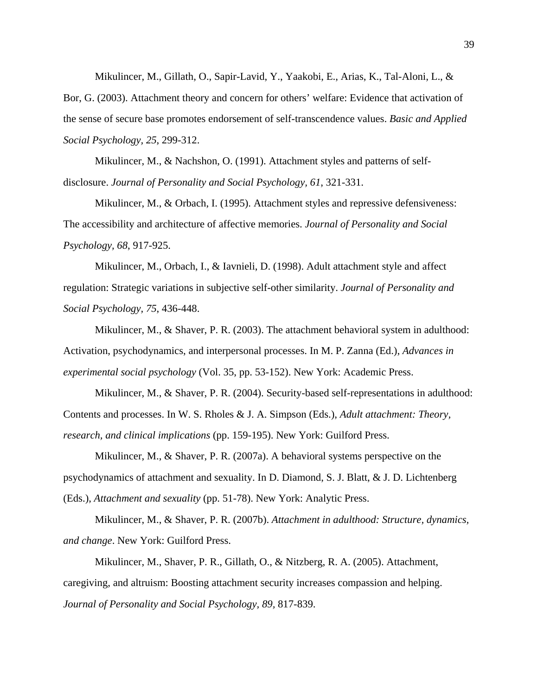Mikulincer, M., Gillath, O., Sapir-Lavid, Y., Yaakobi, E., Arias, K., Tal-Aloni, L., &

Bor, G. (2003). Attachment theory and concern for others' welfare: Evidence that activation of the sense of secure base promotes endorsement of self-transcendence values. *Basic and Applied Social Psychology, 25*, 299-312.

Mikulincer, M., & Nachshon, O. (1991). Attachment styles and patterns of selfdisclosure. *Journal of Personality and Social Psychology, 61*, 321-331.

Mikulincer, M., & Orbach, I. (1995). Attachment styles and repressive defensiveness: The accessibility and architecture of affective memories. *Journal of Personality and Social Psychology, 68*, 917-925.

Mikulincer, M., Orbach, I., & Iavnieli, D. (1998). Adult attachment style and affect regulation: Strategic variations in subjective self-other similarity. *Journal of Personality and Social Psychology, 75*, 436-448.

Mikulincer, M., & Shaver, P. R. (2003). The attachment behavioral system in adulthood: Activation, psychodynamics, and interpersonal processes. In M. P. Zanna (Ed.), *Advances in experimental social psychology* (Vol. 35, pp. 53-152). New York: Academic Press.

Mikulincer, M., & Shaver, P. R. (2004). Security-based self-representations in adulthood: Contents and processes. In W. S. Rholes & J. A. Simpson (Eds.), *Adult attachment: Theory, research, and clinical implications* (pp. 159-195). New York: Guilford Press.

Mikulincer, M., & Shaver, P. R. (2007a). A behavioral systems perspective on the psychodynamics of attachment and sexuality. In D. Diamond, S. J. Blatt, & J. D. Lichtenberg (Eds.), *Attachment and sexuality* (pp. 51-78). New York: Analytic Press.

Mikulincer, M., & Shaver, P. R. (2007b). *Attachment in adulthood: Structure, dynamics, and change*. New York: Guilford Press.

Mikulincer, M., Shaver, P. R., Gillath, O., & Nitzberg, R. A. (2005). Attachment, caregiving, and altruism: Boosting attachment security increases compassion and helping. *Journal of Personality and Social Psychology, 89,* 817-839.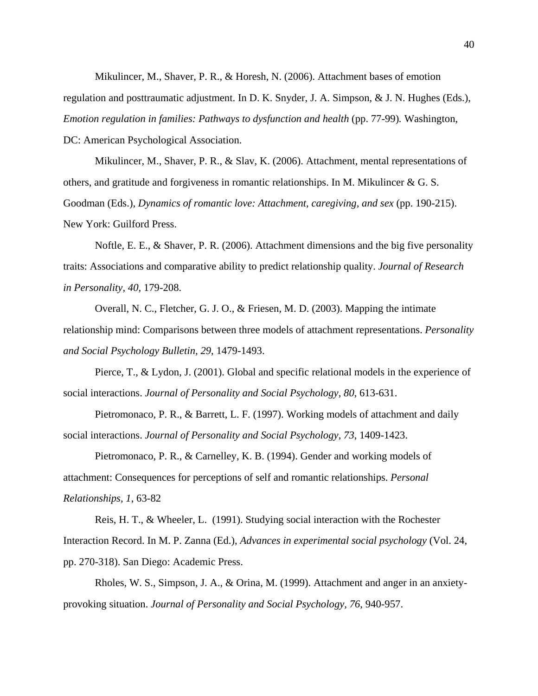Mikulincer, M., Shaver, P. R., & Horesh, N. (2006). Attachment bases of emotion regulation and posttraumatic adjustment. In D. K. Snyder, J. A. Simpson, & J. N. Hughes (Eds.), *Emotion regulation in families: Pathways to dysfunction and health* (pp. 77-99)*.* Washington, DC: American Psychological Association.

Mikulincer, M., Shaver, P. R., & Slav, K. (2006). Attachment, mental representations of others, and gratitude and forgiveness in romantic relationships. In M. Mikulincer  $\&$  G. S. Goodman (Eds.), *Dynamics of romantic love: Attachment, caregiving, and sex* (pp. 190-215). New York: Guilford Press.

Noftle, E. E., & Shaver, P. R. (2006). Attachment dimensions and the big five personality traits: Associations and comparative ability to predict relationship quality. *Journal of Research in Personality, 40*, 179-208.

Overall, N. C., Fletcher, G. J. O., & Friesen, M. D. (2003). Mapping the intimate relationship mind: Comparisons between three models of attachment representations. *Personality and Social Psychology Bulletin, 29*, 1479-1493.

Pierce, T., & Lydon, J. (2001). Global and specific relational models in the experience of social interactions. *Journal of Personality and Social Psychology, 80*, 613-631.

Pietromonaco, P. R., & Barrett, L. F. (1997). Working models of attachment and daily social interactions. *Journal of Personality and Social Psychology, 73*, 1409-1423.

Pietromonaco, P. R., & Carnelley, K. B. (1994). Gender and working models of attachment: Consequences for perceptions of self and romantic relationships. *Personal Relationships, 1*, 63-82

Reis, H. T., & Wheeler, L. (1991). Studying social interaction with the Rochester Interaction Record. In M. P. Zanna (Ed.), *Advances in experimental social psychology* (Vol. 24, pp. 270-318). San Diego: Academic Press.

Rholes, W. S., Simpson, J. A., & Orina, M. (1999). Attachment and anger in an anxietyprovoking situation. *Journal of Personality and Social Psychology, 76*, 940-957.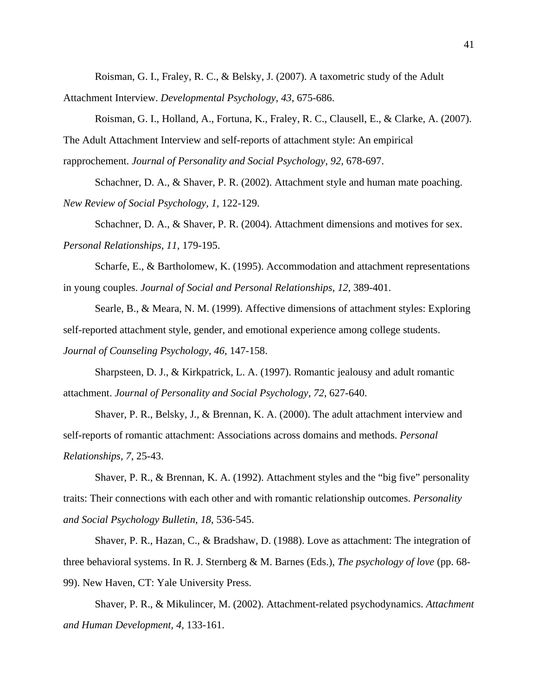Roisman, G. I., Fraley, R. C., & Belsky, J. (2007). A taxometric study of the Adult

Attachment Interview. *Developmental Psychology, 43*, 675-686.

Roisman, G. I., Holland, A., Fortuna, K., Fraley, R. C., Clausell, E., & Clarke, A. (2007). The Adult Attachment Interview and self-reports of attachment style: An empirical rapprochement. *Journal of Personality and Social Psychology, 92*, 678-697.

Schachner, D. A., & Shaver, P. R. (2002). Attachment style and human mate poaching. *New Review of Social Psychology, 1,* 122-129.

Schachner, D. A., & Shaver, P. R. (2004). Attachment dimensions and motives for sex. *Personal Relationships, 11,* 179-195.

Scharfe, E., & Bartholomew, K. (1995). Accommodation and attachment representations in young couples. *Journal of Social and Personal Relationships, 12*, 389-401.

Searle, B., & Meara, N. M. (1999). Affective dimensions of attachment styles: Exploring self-reported attachment style, gender, and emotional experience among college students. *Journal of Counseling Psychology, 46*, 147-158.

Sharpsteen, D. J., & Kirkpatrick, L. A. (1997). Romantic jealousy and adult romantic attachment. *Journal of Personality and Social Psychology, 72*, 627-640.

Shaver, P. R., Belsky, J., & Brennan, K. A. (2000). The adult attachment interview and self-reports of romantic attachment: Associations across domains and methods. *Personal Relationships, 7*, 25-43.

Shaver, P. R., & Brennan, K. A. (1992). Attachment styles and the "big five" personality traits: Their connections with each other and with romantic relationship outcomes. *Personality and Social Psychology Bulletin, 18*, 536-545.

Shaver, P. R., Hazan, C., & Bradshaw, D. (1988). Love as attachment: The integration of three behavioral systems. In R. J. Sternberg & M. Barnes (Eds.), *The psychology of love* (pp. 68- 99). New Haven, CT: Yale University Press.

Shaver, P. R., & Mikulincer, M. (2002). Attachment-related psychodynamics. *Attachment and Human Development, 4*, 133-161.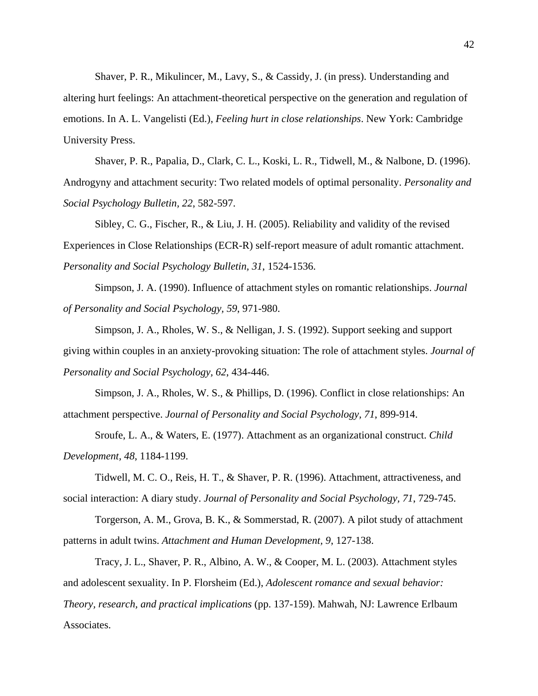Shaver, P. R., Mikulincer, M., Lavy, S., & Cassidy, J. (in press). Understanding and altering hurt feelings: An attachment-theoretical perspective on the generation and regulation of emotions. In A. L. Vangelisti (Ed.), *Feeling hurt in close relationships*. New York: Cambridge University Press.

Shaver, P. R., Papalia, D., Clark, C. L., Koski, L. R., Tidwell, M., & Nalbone, D. (1996). Androgyny and attachment security: Two related models of optimal personality. *Personality and Social Psychology Bulletin, 22*, 582-597.

Sibley, C. G., Fischer, R., & Liu, J. H. (2005). Reliability and validity of the revised Experiences in Close Relationships (ECR-R) self-report measure of adult romantic attachment. *Personality and Social Psychology Bulletin, 31*, 1524-1536.

Simpson, J. A. (1990). Influence of attachment styles on romantic relationships. *Journal of Personality and Social Psychology, 59*, 971-980.

Simpson, J. A., Rholes, W. S., & Nelligan, J. S. (1992). Support seeking and support giving within couples in an anxiety-provoking situation: The role of attachment styles. *Journal of Personality and Social Psychology, 62*, 434-446.

Simpson, J. A., Rholes, W. S., & Phillips, D. (1996). Conflict in close relationships: An attachment perspective. *Journal of Personality and Social Psychology, 71*, 899-914.

Sroufe, L. A., & Waters, E. (1977). Attachment as an organizational construct. *Child Development, 48*, 1184-1199.

Tidwell, M. C. O., Reis, H. T., & Shaver, P. R. (1996). Attachment, attractiveness, and social interaction: A diary study. *Journal of Personality and Social Psychology, 71*, 729-745.

Torgerson, A. M., Grova, B. K., & Sommerstad, R. (2007). A pilot study of attachment patterns in adult twins. *Attachment and Human Development, 9*, 127-138.

Tracy, J. L., Shaver, P. R., Albino, A. W., & Cooper, M. L. (2003). Attachment styles and adolescent sexuality. In P. Florsheim (Ed.), *Adolescent romance and sexual behavior: Theory, research, and practical implications* (pp. 137-159). Mahwah, NJ: Lawrence Erlbaum Associates.